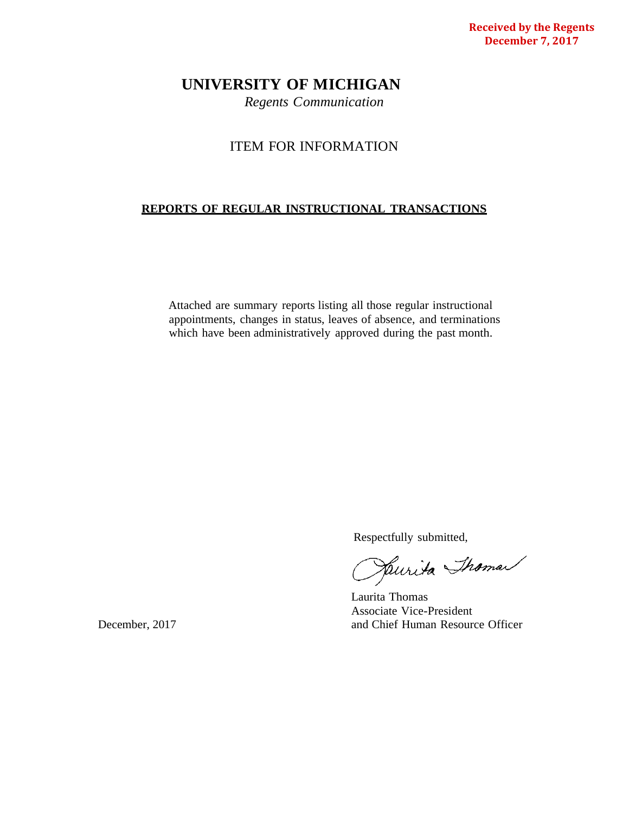# **UNIVERSITY OF MICHIGAN**

*Regents Communication*

# ITEM FOR INFORMATION

# **REPORTS OF REGULAR INSTRUCTIONAL TRANSACTIONS**

Attached are summary reports listing all those regular instructional appointments, changes in status, leaves of absence, and terminations which have been administratively approved during the past month.

Respectfully submitted,<br>Ruise Shoman

Laurita Thomas Associate Vice-President December, 2017 **and Chief Human Resource Officer**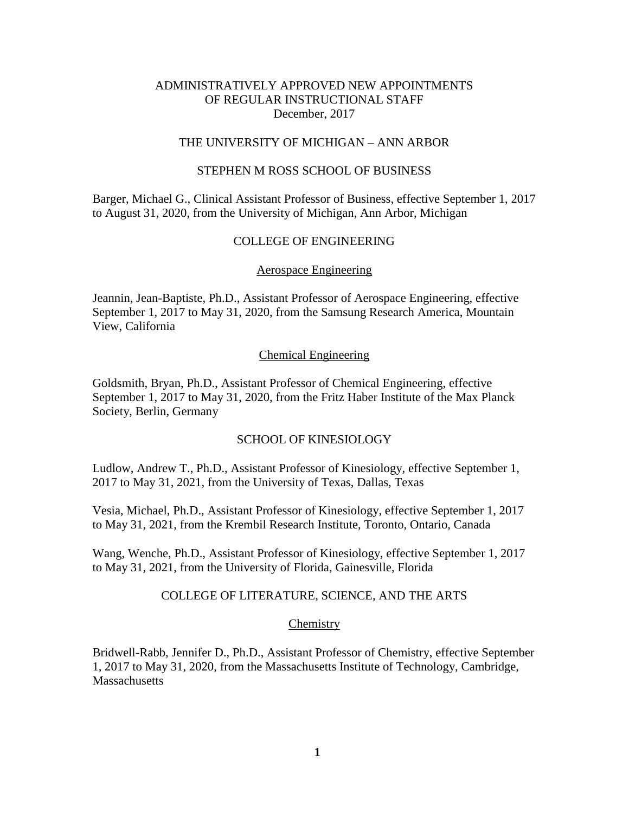### THE UNIVERSITY OF MICHIGAN – ANN ARBOR

### STEPHEN M ROSS SCHOOL OF BUSINESS

Barger, Michael G., Clinical Assistant Professor of Business, effective September 1, 2017 to August 31, 2020, from the University of Michigan, Ann Arbor, Michigan

#### COLLEGE OF ENGINEERING

### Aerospace Engineering

Jeannin, Jean-Baptiste, Ph.D., Assistant Professor of Aerospace Engineering, effective September 1, 2017 to May 31, 2020, from the Samsung Research America, Mountain View, California

### Chemical Engineering

Goldsmith, Bryan, Ph.D., Assistant Professor of Chemical Engineering, effective September 1, 2017 to May 31, 2020, from the Fritz Haber Institute of the Max Planck Society, Berlin, Germany

#### SCHOOL OF KINESIOLOGY

Ludlow, Andrew T., Ph.D., Assistant Professor of Kinesiology, effective September 1, 2017 to May 31, 2021, from the University of Texas, Dallas, Texas

Vesia, Michael, Ph.D., Assistant Professor of Kinesiology, effective September 1, 2017 to May 31, 2021, from the Krembil Research Institute, Toronto, Ontario, Canada

Wang, Wenche, Ph.D., Assistant Professor of Kinesiology, effective September 1, 2017 to May 31, 2021, from the University of Florida, Gainesville, Florida

# COLLEGE OF LITERATURE, SCIENCE, AND THE ARTS

#### **Chemistry**

Bridwell-Rabb, Jennifer D., Ph.D., Assistant Professor of Chemistry, effective September 1, 2017 to May 31, 2020, from the Massachusetts Institute of Technology, Cambridge, **Massachusetts**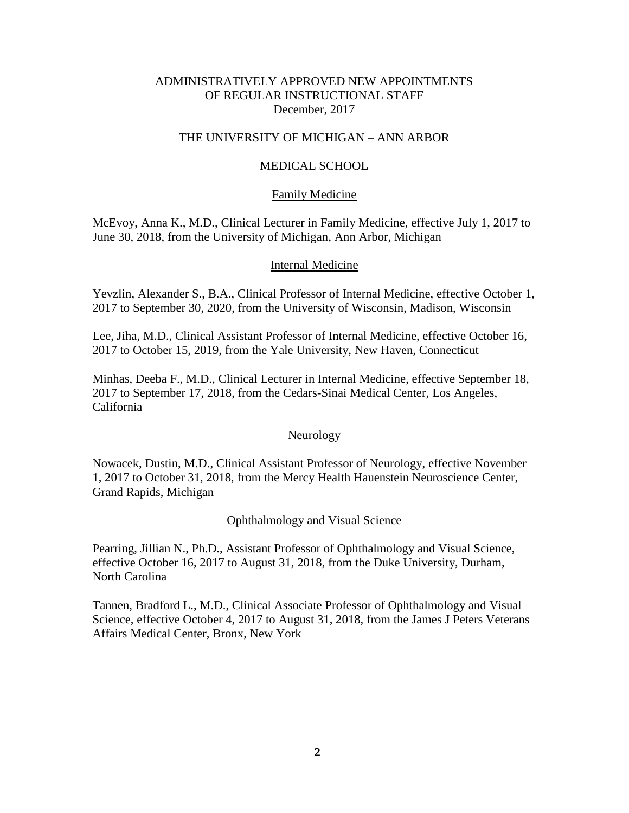## THE UNIVERSITY OF MICHIGAN – ANN ARBOR

## MEDICAL SCHOOL

#### Family Medicine

McEvoy, Anna K., M.D., Clinical Lecturer in Family Medicine, effective July 1, 2017 to June 30, 2018, from the University of Michigan, Ann Arbor, Michigan

#### Internal Medicine

Yevzlin, Alexander S., B.A., Clinical Professor of Internal Medicine, effective October 1, 2017 to September 30, 2020, from the University of Wisconsin, Madison, Wisconsin

Lee, Jiha, M.D., Clinical Assistant Professor of Internal Medicine, effective October 16, 2017 to October 15, 2019, from the Yale University, New Haven, Connecticut

Minhas, Deeba F., M.D., Clinical Lecturer in Internal Medicine, effective September 18, 2017 to September 17, 2018, from the Cedars-Sinai Medical Center, Los Angeles, California

#### Neurology

Nowacek, Dustin, M.D., Clinical Assistant Professor of Neurology, effective November 1, 2017 to October 31, 2018, from the Mercy Health Hauenstein Neuroscience Center, Grand Rapids, Michigan

#### Ophthalmology and Visual Science

Pearring, Jillian N., Ph.D., Assistant Professor of Ophthalmology and Visual Science, effective October 16, 2017 to August 31, 2018, from the Duke University, Durham, North Carolina

Tannen, Bradford L., M.D., Clinical Associate Professor of Ophthalmology and Visual Science, effective October 4, 2017 to August 31, 2018, from the James J Peters Veterans Affairs Medical Center, Bronx, New York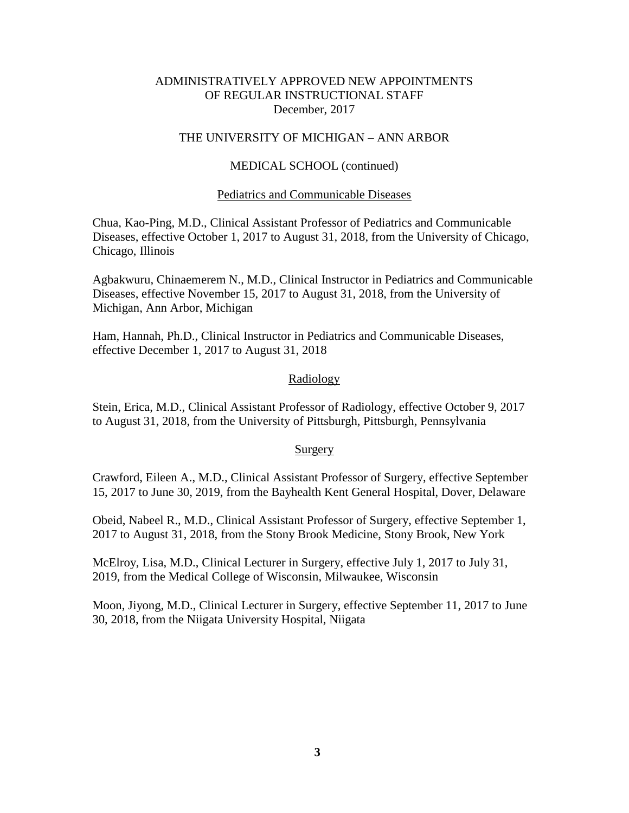# THE UNIVERSITY OF MICHIGAN – ANN ARBOR

# MEDICAL SCHOOL (continued)

### Pediatrics and Communicable Diseases

Chua, Kao-Ping, M.D., Clinical Assistant Professor of Pediatrics and Communicable Diseases, effective October 1, 2017 to August 31, 2018, from the University of Chicago, Chicago, Illinois

Agbakwuru, Chinaemerem N., M.D., Clinical Instructor in Pediatrics and Communicable Diseases, effective November 15, 2017 to August 31, 2018, from the University of Michigan, Ann Arbor, Michigan

Ham, Hannah, Ph.D., Clinical Instructor in Pediatrics and Communicable Diseases, effective December 1, 2017 to August 31, 2018

## Radiology

Stein, Erica, M.D., Clinical Assistant Professor of Radiology, effective October 9, 2017 to August 31, 2018, from the University of Pittsburgh, Pittsburgh, Pennsylvania

## Surgery

Crawford, Eileen A., M.D., Clinical Assistant Professor of Surgery, effective September 15, 2017 to June 30, 2019, from the Bayhealth Kent General Hospital, Dover, Delaware

Obeid, Nabeel R., M.D., Clinical Assistant Professor of Surgery, effective September 1, 2017 to August 31, 2018, from the Stony Brook Medicine, Stony Brook, New York

McElroy, Lisa, M.D., Clinical Lecturer in Surgery, effective July 1, 2017 to July 31, 2019, from the Medical College of Wisconsin, Milwaukee, Wisconsin

Moon, Jiyong, M.D., Clinical Lecturer in Surgery, effective September 11, 2017 to June 30, 2018, from the Niigata University Hospital, Niigata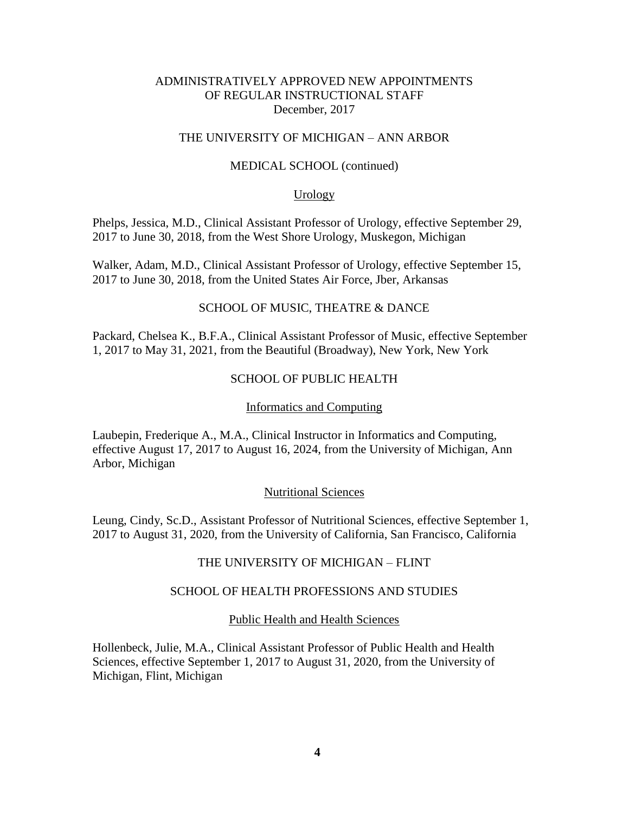# THE UNIVERSITY OF MICHIGAN – ANN ARBOR

# MEDICAL SCHOOL (continued)

### Urology

Phelps, Jessica, M.D., Clinical Assistant Professor of Urology, effective September 29, 2017 to June 30, 2018, from the West Shore Urology, Muskegon, Michigan

Walker, Adam, M.D., Clinical Assistant Professor of Urology, effective September 15, 2017 to June 30, 2018, from the United States Air Force, Jber, Arkansas

### SCHOOL OF MUSIC, THEATRE & DANCE

Packard, Chelsea K., B.F.A., Clinical Assistant Professor of Music, effective September 1, 2017 to May 31, 2021, from the Beautiful (Broadway), New York, New York

## SCHOOL OF PUBLIC HEALTH

#### Informatics and Computing

Laubepin, Frederique A., M.A., Clinical Instructor in Informatics and Computing, effective August 17, 2017 to August 16, 2024, from the University of Michigan, Ann Arbor, Michigan

#### Nutritional Sciences

Leung, Cindy, Sc.D., Assistant Professor of Nutritional Sciences, effective September 1, 2017 to August 31, 2020, from the University of California, San Francisco, California

#### THE UNIVERSITY OF MICHIGAN – FLINT

#### SCHOOL OF HEALTH PROFESSIONS AND STUDIES

#### Public Health and Health Sciences

Hollenbeck, Julie, M.A., Clinical Assistant Professor of Public Health and Health Sciences, effective September 1, 2017 to August 31, 2020, from the University of Michigan, Flint, Michigan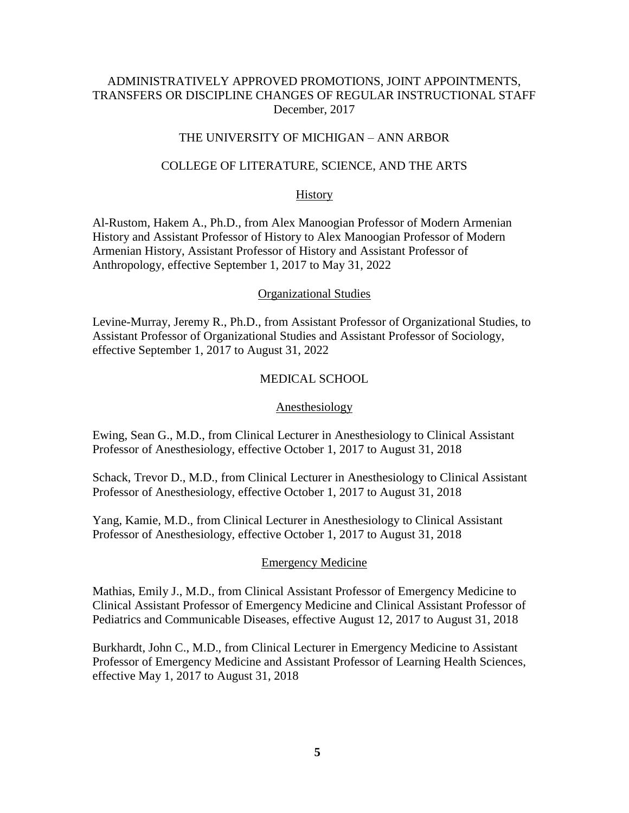# ADMINISTRATIVELY APPROVED PROMOTIONS, JOINT APPOINTMENTS, TRANSFERS OR DISCIPLINE CHANGES OF REGULAR INSTRUCTIONAL STAFF December, 2017

# THE UNIVERSITY OF MICHIGAN – ANN ARBOR

# COLLEGE OF LITERATURE, SCIENCE, AND THE ARTS

#### History

Al-Rustom, Hakem A., Ph.D., from Alex Manoogian Professor of Modern Armenian History and Assistant Professor of History to Alex Manoogian Professor of Modern Armenian History, Assistant Professor of History and Assistant Professor of Anthropology, effective September 1, 2017 to May 31, 2022

#### Organizational Studies

Levine-Murray, Jeremy R., Ph.D., from Assistant Professor of Organizational Studies, to Assistant Professor of Organizational Studies and Assistant Professor of Sociology, effective September 1, 2017 to August 31, 2022

# MEDICAL SCHOOL

#### Anesthesiology

Ewing, Sean G., M.D., from Clinical Lecturer in Anesthesiology to Clinical Assistant Professor of Anesthesiology, effective October 1, 2017 to August 31, 2018

Schack, Trevor D., M.D., from Clinical Lecturer in Anesthesiology to Clinical Assistant Professor of Anesthesiology, effective October 1, 2017 to August 31, 2018

Yang, Kamie, M.D., from Clinical Lecturer in Anesthesiology to Clinical Assistant Professor of Anesthesiology, effective October 1, 2017 to August 31, 2018

#### Emergency Medicine

Mathias, Emily J., M.D., from Clinical Assistant Professor of Emergency Medicine to Clinical Assistant Professor of Emergency Medicine and Clinical Assistant Professor of Pediatrics and Communicable Diseases, effective August 12, 2017 to August 31, 2018

Burkhardt, John C., M.D., from Clinical Lecturer in Emergency Medicine to Assistant Professor of Emergency Medicine and Assistant Professor of Learning Health Sciences, effective May 1, 2017 to August 31, 2018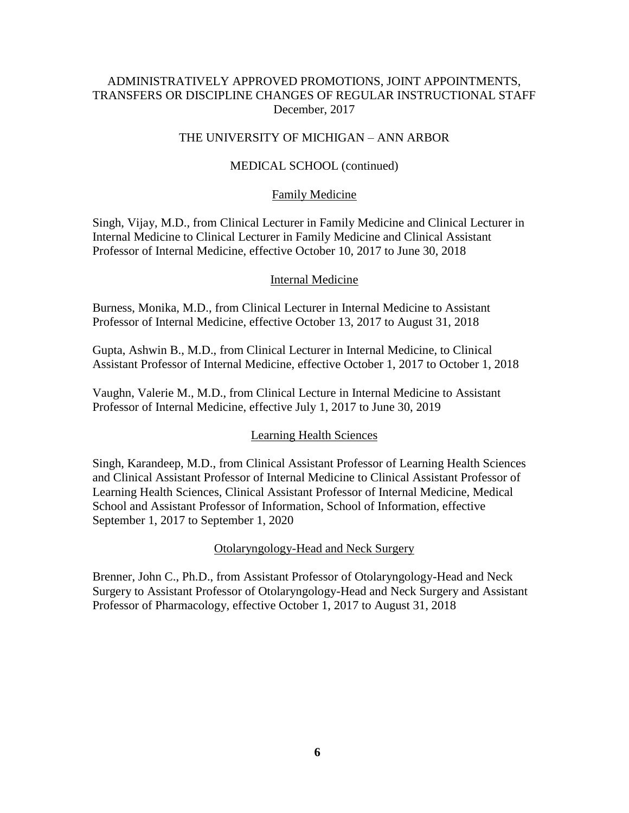# ADMINISTRATIVELY APPROVED PROMOTIONS, JOINT APPOINTMENTS, TRANSFERS OR DISCIPLINE CHANGES OF REGULAR INSTRUCTIONAL STAFF December, 2017

# THE UNIVERSITY OF MICHIGAN – ANN ARBOR

## MEDICAL SCHOOL (continued)

### Family Medicine

Singh, Vijay, M.D., from Clinical Lecturer in Family Medicine and Clinical Lecturer in Internal Medicine to Clinical Lecturer in Family Medicine and Clinical Assistant Professor of Internal Medicine, effective October 10, 2017 to June 30, 2018

#### Internal Medicine

Burness, Monika, M.D., from Clinical Lecturer in Internal Medicine to Assistant Professor of Internal Medicine, effective October 13, 2017 to August 31, 2018

Gupta, Ashwin B., M.D., from Clinical Lecturer in Internal Medicine, to Clinical Assistant Professor of Internal Medicine, effective October 1, 2017 to October 1, 2018

Vaughn, Valerie M., M.D., from Clinical Lecture in Internal Medicine to Assistant Professor of Internal Medicine, effective July 1, 2017 to June 30, 2019

#### Learning Health Sciences

Singh, Karandeep, M.D., from Clinical Assistant Professor of Learning Health Sciences and Clinical Assistant Professor of Internal Medicine to Clinical Assistant Professor of Learning Health Sciences, Clinical Assistant Professor of Internal Medicine, Medical School and Assistant Professor of Information, School of Information, effective September 1, 2017 to September 1, 2020

#### Otolaryngology-Head and Neck Surgery

Brenner, John C., Ph.D., from Assistant Professor of Otolaryngology-Head and Neck Surgery to Assistant Professor of Otolaryngology-Head and Neck Surgery and Assistant Professor of Pharmacology, effective October 1, 2017 to August 31, 2018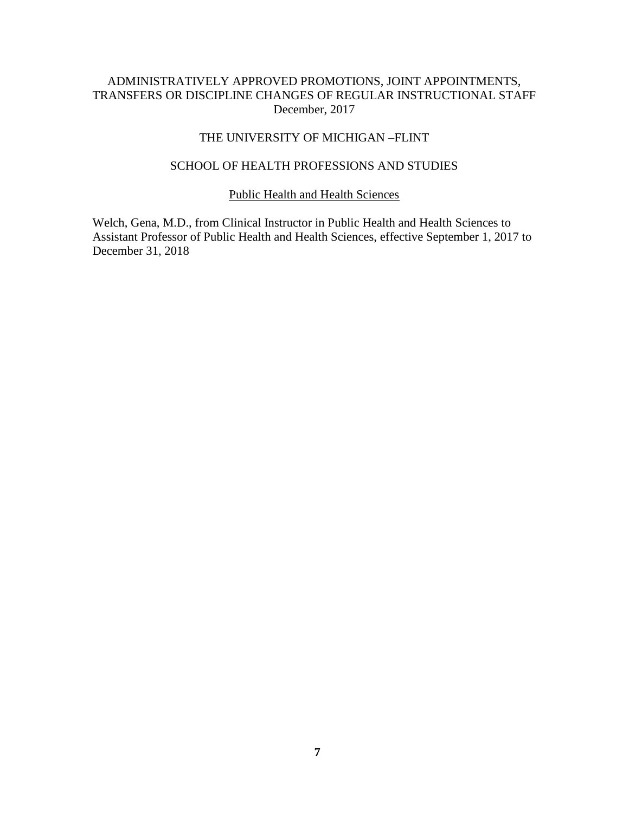# ADMINISTRATIVELY APPROVED PROMOTIONS, JOINT APPOINTMENTS, TRANSFERS OR DISCIPLINE CHANGES OF REGULAR INSTRUCTIONAL STAFF December, 2017

# THE UNIVERSITY OF MICHIGAN –FLINT

# SCHOOL OF HEALTH PROFESSIONS AND STUDIES

# Public Health and Health Sciences

Welch, Gena, M.D., from Clinical Instructor in Public Health and Health Sciences to Assistant Professor of Public Health and Health Sciences, effective September 1, 2017 to December 31, 2018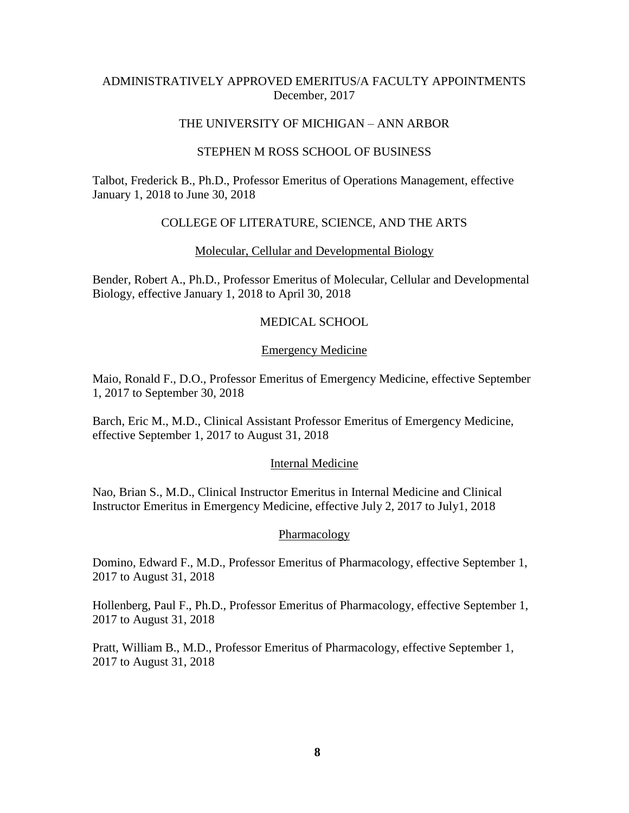# ADMINISTRATIVELY APPROVED EMERITUS/A FACULTY APPOINTMENTS December, 2017

# THE UNIVERSITY OF MICHIGAN – ANN ARBOR

# STEPHEN M ROSS SCHOOL OF BUSINESS

Talbot, Frederick B., Ph.D., Professor Emeritus of Operations Management, effective January 1, 2018 to June 30, 2018

# COLLEGE OF LITERATURE, SCIENCE, AND THE ARTS

# Molecular, Cellular and Developmental Biology

Bender, Robert A., Ph.D., Professor Emeritus of Molecular, Cellular and Developmental Biology, effective January 1, 2018 to April 30, 2018

# MEDICAL SCHOOL

# Emergency Medicine

Maio, Ronald F., D.O., Professor Emeritus of Emergency Medicine, effective September 1, 2017 to September 30, 2018

Barch, Eric M., M.D., Clinical Assistant Professor Emeritus of Emergency Medicine, effective September 1, 2017 to August 31, 2018

# Internal Medicine

Nao, Brian S., M.D., Clinical Instructor Emeritus in Internal Medicine and Clinical Instructor Emeritus in Emergency Medicine, effective July 2, 2017 to July1, 2018

## Pharmacology

Domino, Edward F., M.D., Professor Emeritus of Pharmacology, effective September 1, 2017 to August 31, 2018

Hollenberg, Paul F., Ph.D., Professor Emeritus of Pharmacology, effective September 1, 2017 to August 31, 2018

Pratt, William B., M.D., Professor Emeritus of Pharmacology, effective September 1, 2017 to August 31, 2018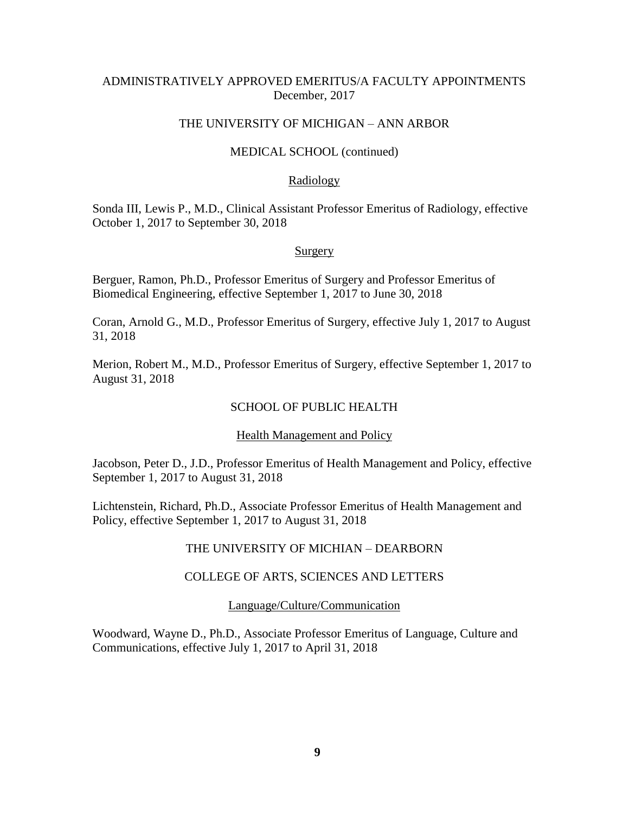# ADMINISTRATIVELY APPROVED EMERITUS/A FACULTY APPOINTMENTS December, 2017

# THE UNIVERSITY OF MICHIGAN – ANN ARBOR

## MEDICAL SCHOOL (continued)

## Radiology

Sonda III, Lewis P., M.D., Clinical Assistant Professor Emeritus of Radiology, effective October 1, 2017 to September 30, 2018

#### Surgery

Berguer, Ramon, Ph.D., Professor Emeritus of Surgery and Professor Emeritus of Biomedical Engineering, effective September 1, 2017 to June 30, 2018

Coran, Arnold G., M.D., Professor Emeritus of Surgery, effective July 1, 2017 to August 31, 2018

Merion, Robert M., M.D., Professor Emeritus of Surgery, effective September 1, 2017 to August 31, 2018

#### SCHOOL OF PUBLIC HEALTH

#### Health Management and Policy

Jacobson, Peter D., J.D., Professor Emeritus of Health Management and Policy, effective September 1, 2017 to August 31, 2018

Lichtenstein, Richard, Ph.D., Associate Professor Emeritus of Health Management and Policy, effective September 1, 2017 to August 31, 2018

# THE UNIVERSITY OF MICHIAN – DEARBORN

#### COLLEGE OF ARTS, SCIENCES AND LETTERS

#### Language/Culture/Communication

Woodward, Wayne D., Ph.D., Associate Professor Emeritus of Language, Culture and Communications, effective July 1, 2017 to April 31, 2018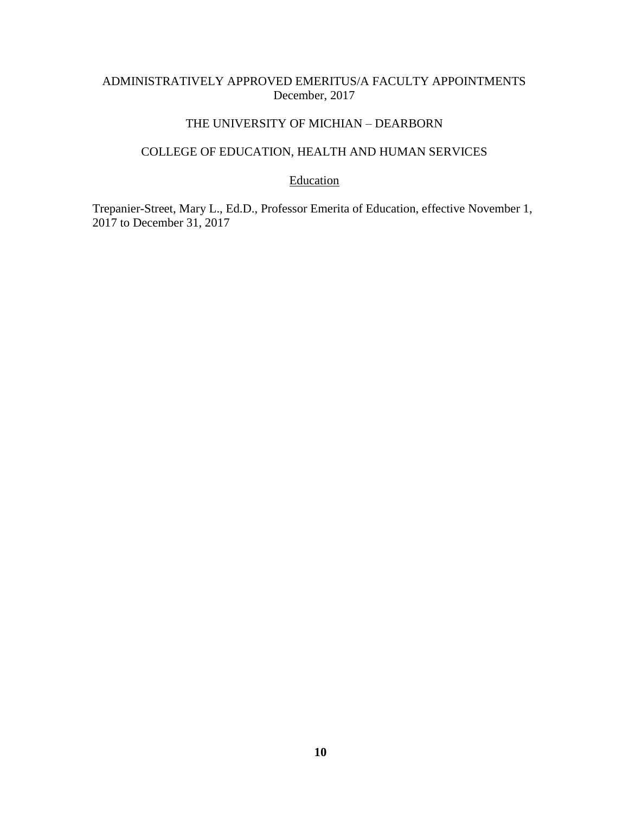# ADMINISTRATIVELY APPROVED EMERITUS/A FACULTY APPOINTMENTS December, 2017

# THE UNIVERSITY OF MICHIAN – DEARBORN

# COLLEGE OF EDUCATION, HEALTH AND HUMAN SERVICES

# Education

Trepanier-Street, Mary L., Ed.D., Professor Emerita of Education, effective November 1, 2017 to December 31, 2017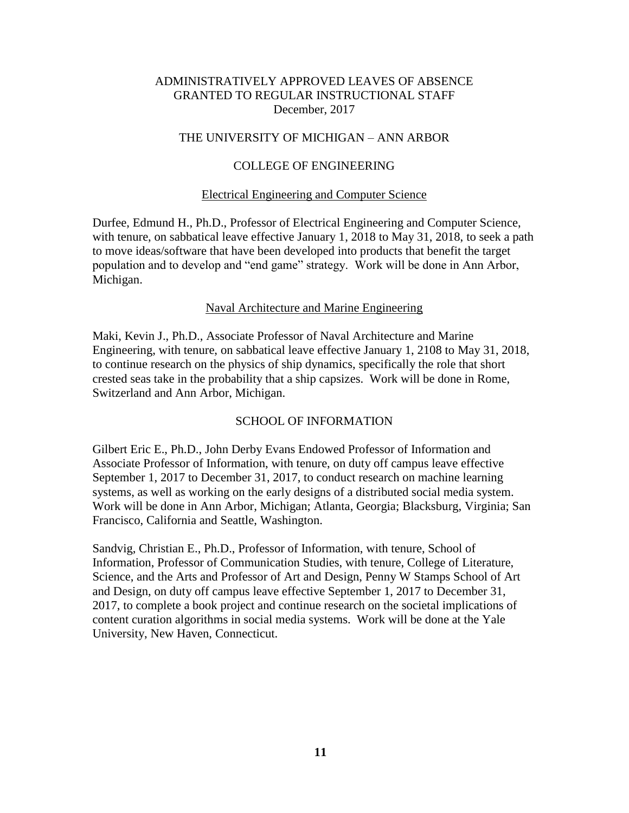# THE UNIVERSITY OF MICHIGAN – ANN ARBOR

# COLLEGE OF ENGINEERING

### Electrical Engineering and Computer Science

Durfee, Edmund H., Ph.D., Professor of Electrical Engineering and Computer Science, with tenure, on sabbatical leave effective January 1, 2018 to May 31, 2018, to seek a path to move ideas/software that have been developed into products that benefit the target population and to develop and "end game" strategy. Work will be done in Ann Arbor, Michigan.

### Naval Architecture and Marine Engineering

Maki, Kevin J., Ph.D., Associate Professor of Naval Architecture and Marine Engineering, with tenure, on sabbatical leave effective January 1, 2108 to May 31, 2018, to continue research on the physics of ship dynamics, specifically the role that short crested seas take in the probability that a ship capsizes. Work will be done in Rome, Switzerland and Ann Arbor, Michigan.

## SCHOOL OF INFORMATION

Gilbert Eric E., Ph.D., John Derby Evans Endowed Professor of Information and Associate Professor of Information, with tenure, on duty off campus leave effective September 1, 2017 to December 31, 2017, to conduct research on machine learning systems, as well as working on the early designs of a distributed social media system. Work will be done in Ann Arbor, Michigan; Atlanta, Georgia; Blacksburg, Virginia; San Francisco, California and Seattle, Washington.

Sandvig, Christian E., Ph.D., Professor of Information, with tenure, School of Information, Professor of Communication Studies, with tenure, College of Literature, Science, and the Arts and Professor of Art and Design, Penny W Stamps School of Art and Design, on duty off campus leave effective September 1, 2017 to December 31, 2017, to complete a book project and continue research on the societal implications of content curation algorithms in social media systems. Work will be done at the Yale University, New Haven, Connecticut.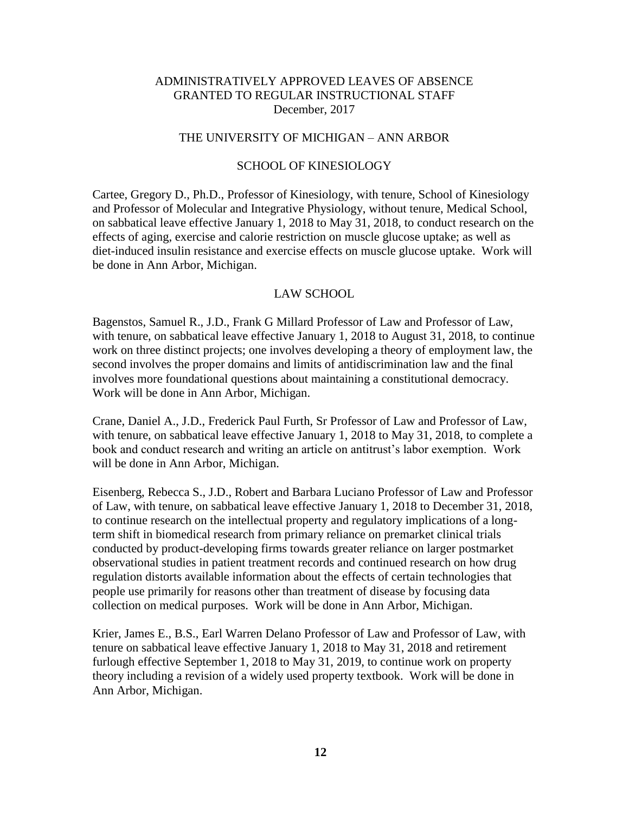### THE UNIVERSITY OF MICHIGAN – ANN ARBOR

## SCHOOL OF KINESIOLOGY

Cartee, Gregory D., Ph.D., Professor of Kinesiology, with tenure, School of Kinesiology and Professor of Molecular and Integrative Physiology, without tenure, Medical School, on sabbatical leave effective January 1, 2018 to May 31, 2018, to conduct research on the effects of aging, exercise and calorie restriction on muscle glucose uptake; as well as diet-induced insulin resistance and exercise effects on muscle glucose uptake. Work will be done in Ann Arbor, Michigan.

#### LAW SCHOOL

Bagenstos, Samuel R., J.D., Frank G Millard Professor of Law and Professor of Law, with tenure, on sabbatical leave effective January 1, 2018 to August 31, 2018, to continue work on three distinct projects; one involves developing a theory of employment law, the second involves the proper domains and limits of antidiscrimination law and the final involves more foundational questions about maintaining a constitutional democracy. Work will be done in Ann Arbor, Michigan.

Crane, Daniel A., J.D., Frederick Paul Furth, Sr Professor of Law and Professor of Law, with tenure, on sabbatical leave effective January 1, 2018 to May 31, 2018, to complete a book and conduct research and writing an article on antitrust's labor exemption. Work will be done in Ann Arbor, Michigan.

Eisenberg, Rebecca S., J.D., Robert and Barbara Luciano Professor of Law and Professor of Law, with tenure, on sabbatical leave effective January 1, 2018 to December 31, 2018, to continue research on the intellectual property and regulatory implications of a longterm shift in biomedical research from primary reliance on premarket clinical trials conducted by product-developing firms towards greater reliance on larger postmarket observational studies in patient treatment records and continued research on how drug regulation distorts available information about the effects of certain technologies that people use primarily for reasons other than treatment of disease by focusing data collection on medical purposes. Work will be done in Ann Arbor, Michigan.

Krier, James E., B.S., Earl Warren Delano Professor of Law and Professor of Law, with tenure on sabbatical leave effective January 1, 2018 to May 31, 2018 and retirement furlough effective September 1, 2018 to May 31, 2019, to continue work on property theory including a revision of a widely used property textbook. Work will be done in Ann Arbor, Michigan.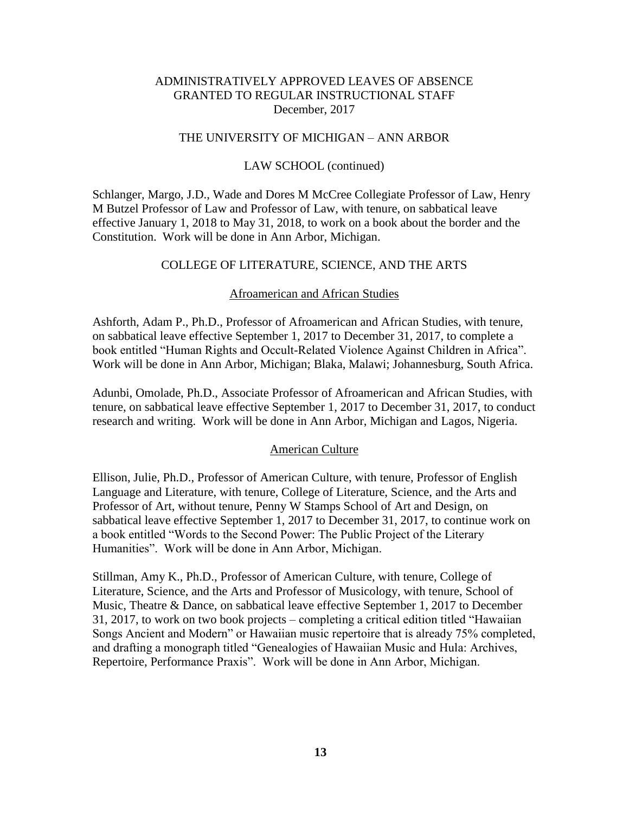## THE UNIVERSITY OF MICHIGAN – ANN ARBOR

## LAW SCHOOL (continued)

Schlanger, Margo, J.D., Wade and Dores M McCree Collegiate Professor of Law, Henry M Butzel Professor of Law and Professor of Law, with tenure, on sabbatical leave effective January 1, 2018 to May 31, 2018, to work on a book about the border and the Constitution. Work will be done in Ann Arbor, Michigan.

### COLLEGE OF LITERATURE, SCIENCE, AND THE ARTS

#### Afroamerican and African Studies

Ashforth, Adam P., Ph.D., Professor of Afroamerican and African Studies, with tenure, on sabbatical leave effective September 1, 2017 to December 31, 2017, to complete a book entitled "Human Rights and Occult-Related Violence Against Children in Africa". Work will be done in Ann Arbor, Michigan; Blaka, Malawi; Johannesburg, South Africa.

Adunbi, Omolade, Ph.D., Associate Professor of Afroamerican and African Studies, with tenure, on sabbatical leave effective September 1, 2017 to December 31, 2017, to conduct research and writing. Work will be done in Ann Arbor, Michigan and Lagos, Nigeria.

#### American Culture

Ellison, Julie, Ph.D., Professor of American Culture, with tenure, Professor of English Language and Literature, with tenure, College of Literature, Science, and the Arts and Professor of Art, without tenure, Penny W Stamps School of Art and Design, on sabbatical leave effective September 1, 2017 to December 31, 2017, to continue work on a book entitled "Words to the Second Power: The Public Project of the Literary Humanities". Work will be done in Ann Arbor, Michigan.

Stillman, Amy K., Ph.D., Professor of American Culture, with tenure, College of Literature, Science, and the Arts and Professor of Musicology, with tenure, School of Music, Theatre & Dance, on sabbatical leave effective September 1, 2017 to December 31, 2017, to work on two book projects – completing a critical edition titled "Hawaiian Songs Ancient and Modern" or Hawaiian music repertoire that is already 75% completed, and drafting a monograph titled "Genealogies of Hawaiian Music and Hula: Archives, Repertoire, Performance Praxis". Work will be done in Ann Arbor, Michigan.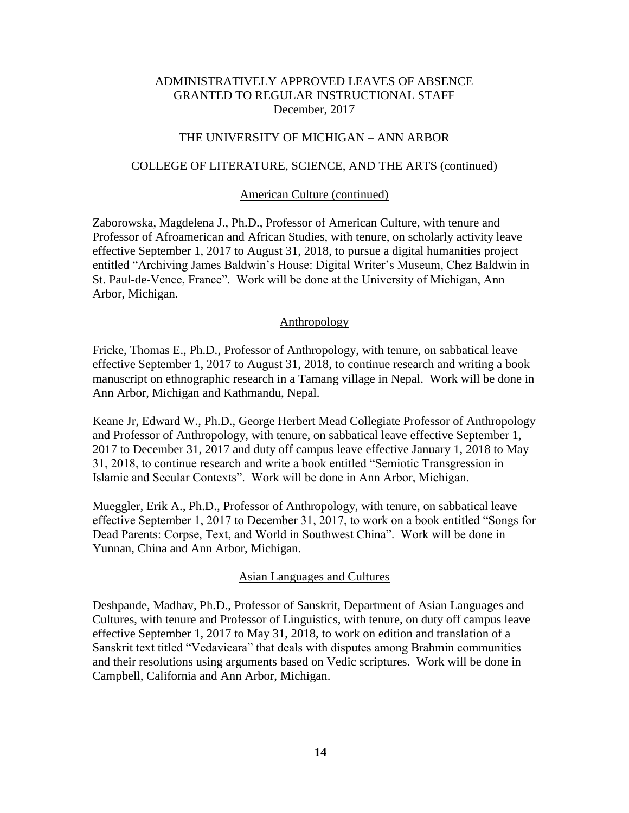# THE UNIVERSITY OF MICHIGAN – ANN ARBOR

### COLLEGE OF LITERATURE, SCIENCE, AND THE ARTS (continued)

#### American Culture (continued)

Zaborowska, Magdelena J., Ph.D., Professor of American Culture, with tenure and Professor of Afroamerican and African Studies, with tenure, on scholarly activity leave effective September 1, 2017 to August 31, 2018, to pursue a digital humanities project entitled "Archiving James Baldwin's House: Digital Writer's Museum, Chez Baldwin in St. Paul-de-Vence, France". Work will be done at the University of Michigan, Ann Arbor, Michigan.

## Anthropology

Fricke, Thomas E., Ph.D., Professor of Anthropology, with tenure, on sabbatical leave effective September 1, 2017 to August 31, 2018, to continue research and writing a book manuscript on ethnographic research in a Tamang village in Nepal. Work will be done in Ann Arbor, Michigan and Kathmandu, Nepal.

Keane Jr, Edward W., Ph.D., George Herbert Mead Collegiate Professor of Anthropology and Professor of Anthropology, with tenure, on sabbatical leave effective September 1, 2017 to December 31, 2017 and duty off campus leave effective January 1, 2018 to May 31, 2018, to continue research and write a book entitled "Semiotic Transgression in Islamic and Secular Contexts". Work will be done in Ann Arbor, Michigan.

Mueggler, Erik A., Ph.D., Professor of Anthropology, with tenure, on sabbatical leave effective September 1, 2017 to December 31, 2017, to work on a book entitled "Songs for Dead Parents: Corpse, Text, and World in Southwest China". Work will be done in Yunnan, China and Ann Arbor, Michigan.

#### Asian Languages and Cultures

Deshpande, Madhav, Ph.D., Professor of Sanskrit, Department of Asian Languages and Cultures, with tenure and Professor of Linguistics, with tenure, on duty off campus leave effective September 1, 2017 to May 31, 2018, to work on edition and translation of a Sanskrit text titled "Vedavicara" that deals with disputes among Brahmin communities and their resolutions using arguments based on Vedic scriptures. Work will be done in Campbell, California and Ann Arbor, Michigan.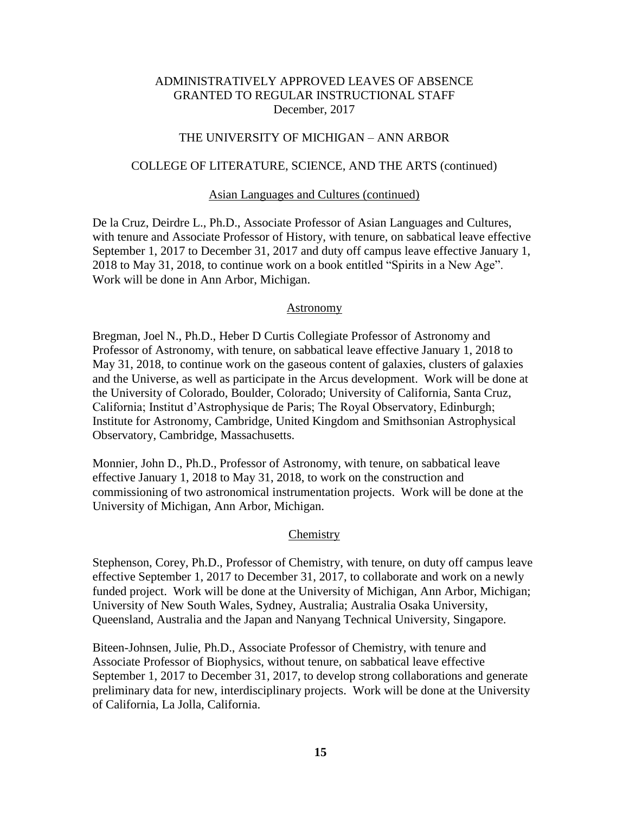# THE UNIVERSITY OF MICHIGAN – ANN ARBOR

### COLLEGE OF LITERATURE, SCIENCE, AND THE ARTS (continued)

#### Asian Languages and Cultures (continued)

De la Cruz, Deirdre L., Ph.D., Associate Professor of Asian Languages and Cultures, with tenure and Associate Professor of History, with tenure, on sabbatical leave effective September 1, 2017 to December 31, 2017 and duty off campus leave effective January 1, 2018 to May 31, 2018, to continue work on a book entitled "Spirits in a New Age". Work will be done in Ann Arbor, Michigan.

#### Astronomy

Bregman, Joel N., Ph.D., Heber D Curtis Collegiate Professor of Astronomy and Professor of Astronomy, with tenure, on sabbatical leave effective January 1, 2018 to May 31, 2018, to continue work on the gaseous content of galaxies, clusters of galaxies and the Universe, as well as participate in the Arcus development. Work will be done at the University of Colorado, Boulder, Colorado; University of California, Santa Cruz, California; Institut d'Astrophysique de Paris; The Royal Observatory, Edinburgh; Institute for Astronomy, Cambridge, United Kingdom and Smithsonian Astrophysical Observatory, Cambridge, Massachusetts.

Monnier, John D., Ph.D., Professor of Astronomy, with tenure, on sabbatical leave effective January 1, 2018 to May 31, 2018, to work on the construction and commissioning of two astronomical instrumentation projects. Work will be done at the University of Michigan, Ann Arbor, Michigan.

#### Chemistry

Stephenson, Corey, Ph.D., Professor of Chemistry, with tenure, on duty off campus leave effective September 1, 2017 to December 31, 2017, to collaborate and work on a newly funded project. Work will be done at the University of Michigan, Ann Arbor, Michigan; University of New South Wales, Sydney, Australia; Australia Osaka University, Queensland, Australia and the Japan and Nanyang Technical University, Singapore.

Biteen-Johnsen, Julie, Ph.D., Associate Professor of Chemistry, with tenure and Associate Professor of Biophysics, without tenure, on sabbatical leave effective September 1, 2017 to December 31, 2017, to develop strong collaborations and generate preliminary data for new, interdisciplinary projects. Work will be done at the University of California, La Jolla, California.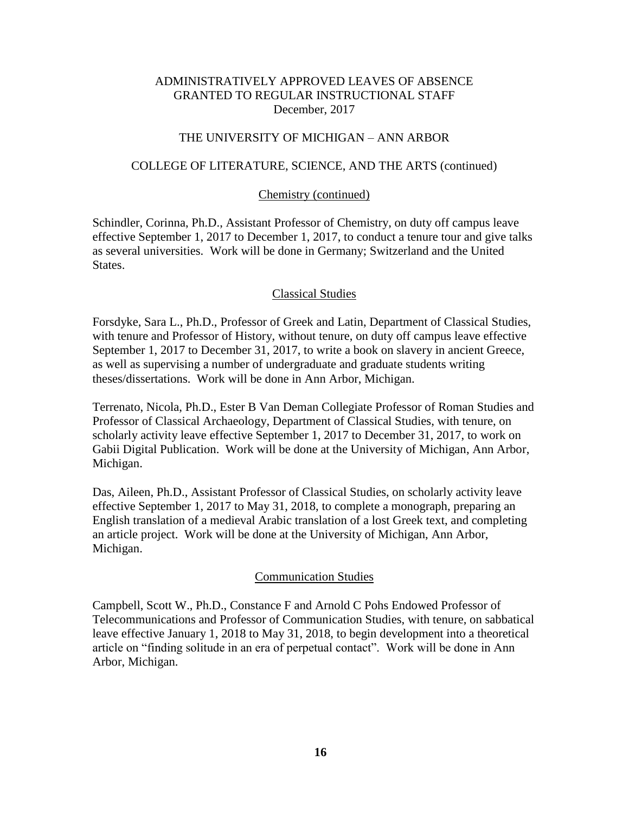# THE UNIVERSITY OF MICHIGAN – ANN ARBOR

### COLLEGE OF LITERATURE, SCIENCE, AND THE ARTS (continued)

#### Chemistry (continued)

Schindler, Corinna, Ph.D., Assistant Professor of Chemistry, on duty off campus leave effective September 1, 2017 to December 1, 2017, to conduct a tenure tour and give talks as several universities. Work will be done in Germany; Switzerland and the United States.

#### Classical Studies

Forsdyke, Sara L., Ph.D., Professor of Greek and Latin, Department of Classical Studies, with tenure and Professor of History, without tenure, on duty off campus leave effective September 1, 2017 to December 31, 2017, to write a book on slavery in ancient Greece, as well as supervising a number of undergraduate and graduate students writing theses/dissertations. Work will be done in Ann Arbor, Michigan.

Terrenato, Nicola, Ph.D., Ester B Van Deman Collegiate Professor of Roman Studies and Professor of Classical Archaeology, Department of Classical Studies, with tenure, on scholarly activity leave effective September 1, 2017 to December 31, 2017, to work on Gabii Digital Publication. Work will be done at the University of Michigan, Ann Arbor, Michigan.

Das, Aileen, Ph.D., Assistant Professor of Classical Studies, on scholarly activity leave effective September 1, 2017 to May 31, 2018, to complete a monograph, preparing an English translation of a medieval Arabic translation of a lost Greek text, and completing an article project. Work will be done at the University of Michigan, Ann Arbor, Michigan.

#### Communication Studies

Campbell, Scott W., Ph.D., Constance F and Arnold C Pohs Endowed Professor of Telecommunications and Professor of Communication Studies, with tenure, on sabbatical leave effective January 1, 2018 to May 31, 2018, to begin development into a theoretical article on "finding solitude in an era of perpetual contact". Work will be done in Ann Arbor, Michigan.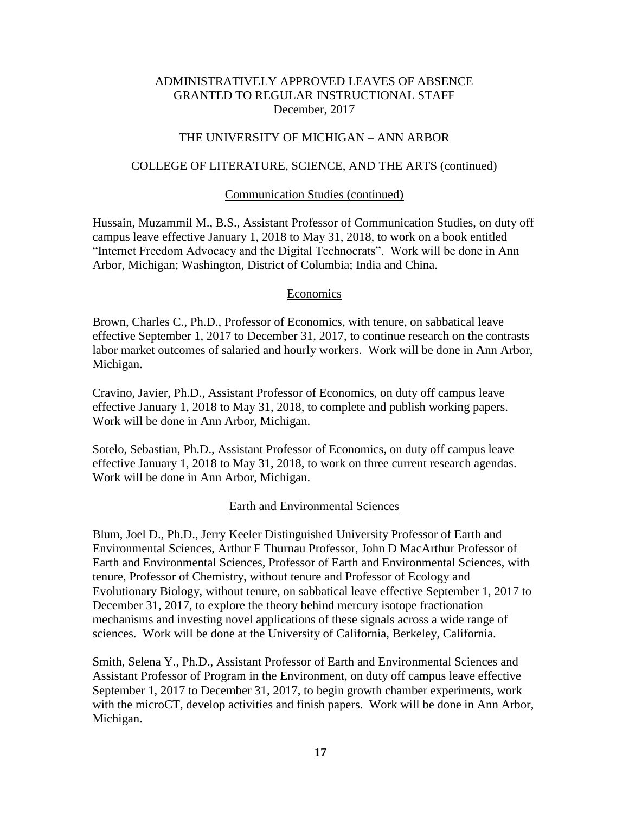# THE UNIVERSITY OF MICHIGAN – ANN ARBOR

### COLLEGE OF LITERATURE, SCIENCE, AND THE ARTS (continued)

#### Communication Studies (continued)

Hussain, Muzammil M., B.S., Assistant Professor of Communication Studies, on duty off campus leave effective January 1, 2018 to May 31, 2018, to work on a book entitled "Internet Freedom Advocacy and the Digital Technocrats". Work will be done in Ann Arbor, Michigan; Washington, District of Columbia; India and China.

#### Economics

Brown, Charles C., Ph.D., Professor of Economics, with tenure, on sabbatical leave effective September 1, 2017 to December 31, 2017, to continue research on the contrasts labor market outcomes of salaried and hourly workers. Work will be done in Ann Arbor, Michigan.

Cravino, Javier, Ph.D., Assistant Professor of Economics, on duty off campus leave effective January 1, 2018 to May 31, 2018, to complete and publish working papers. Work will be done in Ann Arbor, Michigan.

Sotelo, Sebastian, Ph.D., Assistant Professor of Economics, on duty off campus leave effective January 1, 2018 to May 31, 2018, to work on three current research agendas. Work will be done in Ann Arbor, Michigan.

#### Earth and Environmental Sciences

Blum, Joel D., Ph.D., Jerry Keeler Distinguished University Professor of Earth and Environmental Sciences, Arthur F Thurnau Professor, John D MacArthur Professor of Earth and Environmental Sciences, Professor of Earth and Environmental Sciences, with tenure, Professor of Chemistry, without tenure and Professor of Ecology and Evolutionary Biology, without tenure, on sabbatical leave effective September 1, 2017 to December 31, 2017, to explore the theory behind mercury isotope fractionation mechanisms and investing novel applications of these signals across a wide range of sciences. Work will be done at the University of California, Berkeley, California.

Smith, Selena Y., Ph.D., Assistant Professor of Earth and Environmental Sciences and Assistant Professor of Program in the Environment, on duty off campus leave effective September 1, 2017 to December 31, 2017, to begin growth chamber experiments, work with the microCT, develop activities and finish papers. Work will be done in Ann Arbor, Michigan.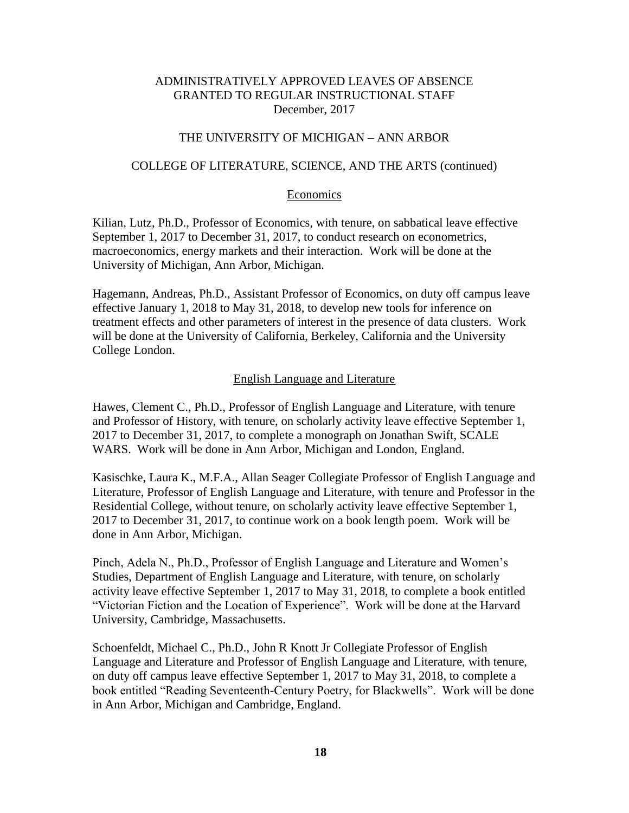# THE UNIVERSITY OF MICHIGAN – ANN ARBOR

### COLLEGE OF LITERATURE, SCIENCE, AND THE ARTS (continued)

#### Economics

Kilian, Lutz, Ph.D., Professor of Economics, with tenure, on sabbatical leave effective September 1, 2017 to December 31, 2017, to conduct research on econometrics, macroeconomics, energy markets and their interaction. Work will be done at the University of Michigan, Ann Arbor, Michigan.

Hagemann, Andreas, Ph.D., Assistant Professor of Economics, on duty off campus leave effective January 1, 2018 to May 31, 2018, to develop new tools for inference on treatment effects and other parameters of interest in the presence of data clusters. Work will be done at the University of California, Berkeley, California and the University College London.

#### English Language and Literature

Hawes, Clement C., Ph.D., Professor of English Language and Literature, with tenure and Professor of History, with tenure, on scholarly activity leave effective September 1, 2017 to December 31, 2017, to complete a monograph on Jonathan Swift, SCALE WARS. Work will be done in Ann Arbor, Michigan and London, England.

Kasischke, Laura K., M.F.A., Allan Seager Collegiate Professor of English Language and Literature, Professor of English Language and Literature, with tenure and Professor in the Residential College, without tenure, on scholarly activity leave effective September 1, 2017 to December 31, 2017, to continue work on a book length poem. Work will be done in Ann Arbor, Michigan.

Pinch, Adela N., Ph.D., Professor of English Language and Literature and Women's Studies, Department of English Language and Literature, with tenure, on scholarly activity leave effective September 1, 2017 to May 31, 2018, to complete a book entitled "Victorian Fiction and the Location of Experience". Work will be done at the Harvard University, Cambridge, Massachusetts.

Schoenfeldt, Michael C., Ph.D., John R Knott Jr Collegiate Professor of English Language and Literature and Professor of English Language and Literature, with tenure, on duty off campus leave effective September 1, 2017 to May 31, 2018, to complete a book entitled "Reading Seventeenth-Century Poetry, for Blackwells". Work will be done in Ann Arbor, Michigan and Cambridge, England.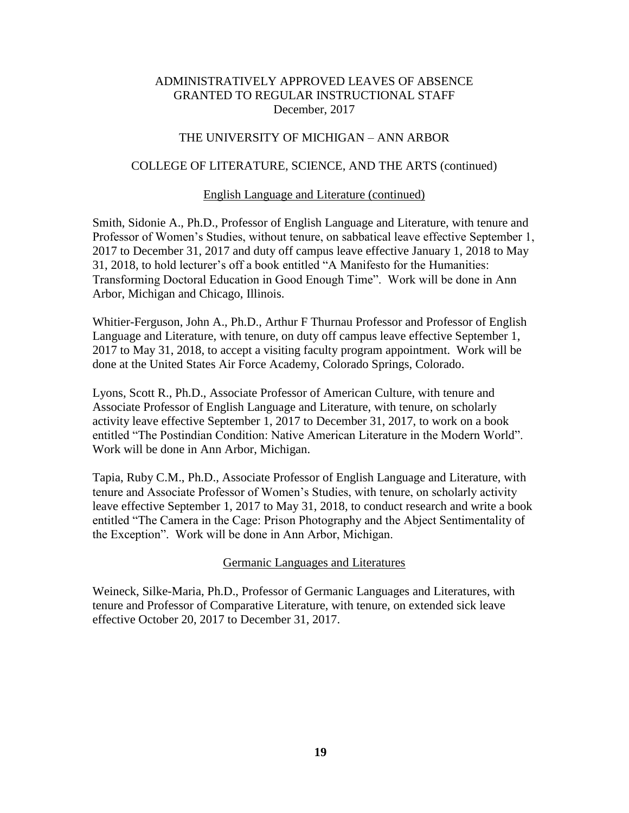# THE UNIVERSITY OF MICHIGAN – ANN ARBOR

# COLLEGE OF LITERATURE, SCIENCE, AND THE ARTS (continued)

## English Language and Literature (continued)

Smith, Sidonie A., Ph.D., Professor of English Language and Literature, with tenure and Professor of Women's Studies, without tenure, on sabbatical leave effective September 1, 2017 to December 31, 2017 and duty off campus leave effective January 1, 2018 to May 31, 2018, to hold lecturer's off a book entitled "A Manifesto for the Humanities: Transforming Doctoral Education in Good Enough Time". Work will be done in Ann Arbor, Michigan and Chicago, Illinois.

Whitier-Ferguson, John A., Ph.D., Arthur F Thurnau Professor and Professor of English Language and Literature, with tenure, on duty off campus leave effective September 1, 2017 to May 31, 2018, to accept a visiting faculty program appointment. Work will be done at the United States Air Force Academy, Colorado Springs, Colorado.

Lyons, Scott R., Ph.D., Associate Professor of American Culture, with tenure and Associate Professor of English Language and Literature, with tenure, on scholarly activity leave effective September 1, 2017 to December 31, 2017, to work on a book entitled "The Postindian Condition: Native American Literature in the Modern World". Work will be done in Ann Arbor, Michigan.

Tapia, Ruby C.M., Ph.D., Associate Professor of English Language and Literature, with tenure and Associate Professor of Women's Studies, with tenure, on scholarly activity leave effective September 1, 2017 to May 31, 2018, to conduct research and write a book entitled "The Camera in the Cage: Prison Photography and the Abject Sentimentality of the Exception". Work will be done in Ann Arbor, Michigan.

## Germanic Languages and Literatures

Weineck, Silke-Maria, Ph.D., Professor of Germanic Languages and Literatures, with tenure and Professor of Comparative Literature, with tenure, on extended sick leave effective October 20, 2017 to December 31, 2017.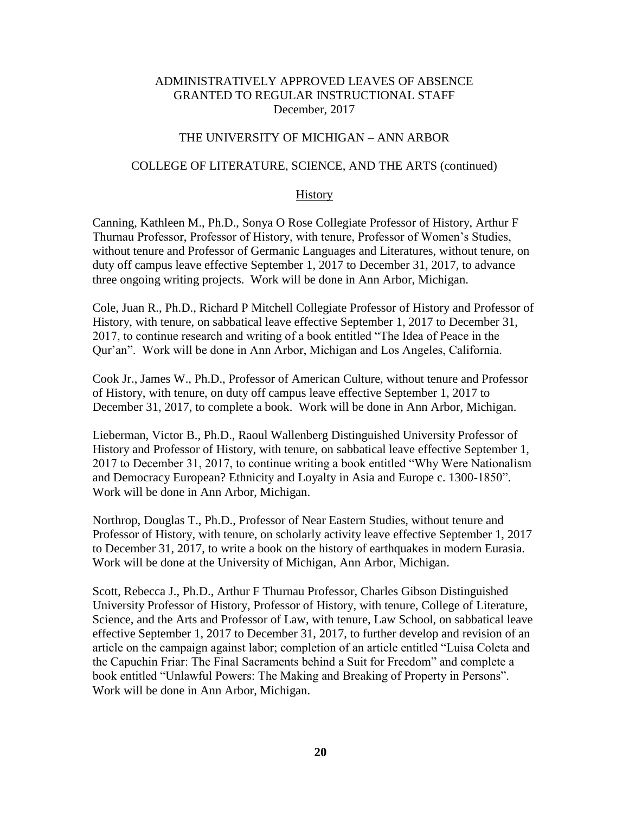# THE UNIVERSITY OF MICHIGAN – ANN ARBOR

### COLLEGE OF LITERATURE, SCIENCE, AND THE ARTS (continued)

#### **History**

Canning, Kathleen M., Ph.D., Sonya O Rose Collegiate Professor of History, Arthur F Thurnau Professor, Professor of History, with tenure, Professor of Women's Studies, without tenure and Professor of Germanic Languages and Literatures, without tenure, on duty off campus leave effective September 1, 2017 to December 31, 2017, to advance three ongoing writing projects. Work will be done in Ann Arbor, Michigan.

Cole, Juan R., Ph.D., Richard P Mitchell Collegiate Professor of History and Professor of History, with tenure, on sabbatical leave effective September 1, 2017 to December 31, 2017, to continue research and writing of a book entitled "The Idea of Peace in the Qur'an". Work will be done in Ann Arbor, Michigan and Los Angeles, California.

Cook Jr., James W., Ph.D., Professor of American Culture, without tenure and Professor of History, with tenure, on duty off campus leave effective September 1, 2017 to December 31, 2017, to complete a book. Work will be done in Ann Arbor, Michigan.

Lieberman, Victor B., Ph.D., Raoul Wallenberg Distinguished University Professor of History and Professor of History, with tenure, on sabbatical leave effective September 1, 2017 to December 31, 2017, to continue writing a book entitled "Why Were Nationalism and Democracy European? Ethnicity and Loyalty in Asia and Europe c. 1300-1850". Work will be done in Ann Arbor, Michigan.

Northrop, Douglas T., Ph.D., Professor of Near Eastern Studies, without tenure and Professor of History, with tenure, on scholarly activity leave effective September 1, 2017 to December 31, 2017, to write a book on the history of earthquakes in modern Eurasia. Work will be done at the University of Michigan, Ann Arbor, Michigan.

Scott, Rebecca J., Ph.D., Arthur F Thurnau Professor, Charles Gibson Distinguished University Professor of History, Professor of History, with tenure, College of Literature, Science, and the Arts and Professor of Law, with tenure, Law School, on sabbatical leave effective September 1, 2017 to December 31, 2017, to further develop and revision of an article on the campaign against labor; completion of an article entitled "Luisa Coleta and the Capuchin Friar: The Final Sacraments behind a Suit for Freedom" and complete a book entitled "Unlawful Powers: The Making and Breaking of Property in Persons". Work will be done in Ann Arbor, Michigan.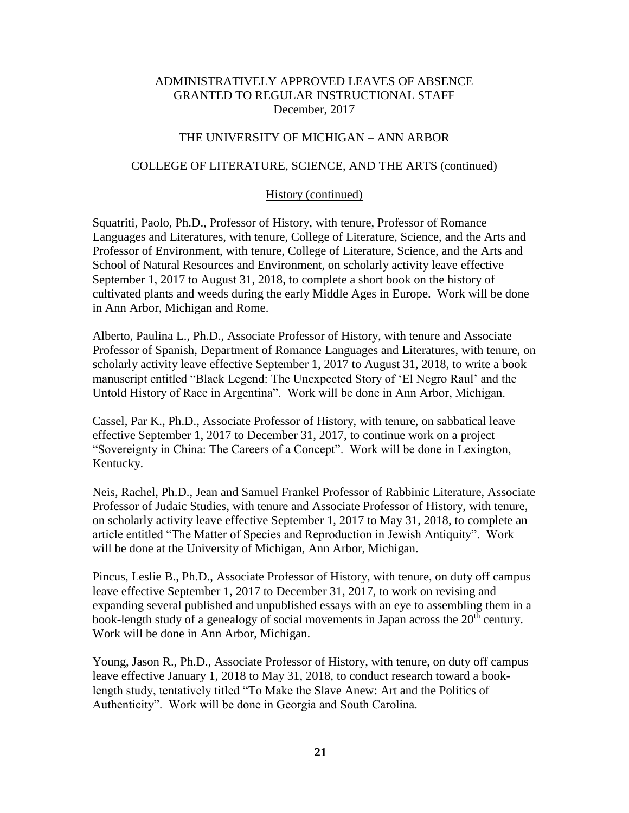# THE UNIVERSITY OF MICHIGAN – ANN ARBOR

## COLLEGE OF LITERATURE, SCIENCE, AND THE ARTS (continued)

### History (continued)

Squatriti, Paolo, Ph.D., Professor of History, with tenure, Professor of Romance Languages and Literatures, with tenure, College of Literature, Science, and the Arts and Professor of Environment, with tenure, College of Literature, Science, and the Arts and School of Natural Resources and Environment, on scholarly activity leave effective September 1, 2017 to August 31, 2018, to complete a short book on the history of cultivated plants and weeds during the early Middle Ages in Europe. Work will be done in Ann Arbor, Michigan and Rome.

Alberto, Paulina L., Ph.D., Associate Professor of History, with tenure and Associate Professor of Spanish, Department of Romance Languages and Literatures, with tenure, on scholarly activity leave effective September 1, 2017 to August 31, 2018, to write a book manuscript entitled "Black Legend: The Unexpected Story of 'El Negro Raul' and the Untold History of Race in Argentina". Work will be done in Ann Arbor, Michigan.

Cassel, Par K., Ph.D., Associate Professor of History, with tenure, on sabbatical leave effective September 1, 2017 to December 31, 2017, to continue work on a project "Sovereignty in China: The Careers of a Concept". Work will be done in Lexington, Kentucky.

Neis, Rachel, Ph.D., Jean and Samuel Frankel Professor of Rabbinic Literature, Associate Professor of Judaic Studies, with tenure and Associate Professor of History, with tenure, on scholarly activity leave effective September 1, 2017 to May 31, 2018, to complete an article entitled "The Matter of Species and Reproduction in Jewish Antiquity". Work will be done at the University of Michigan, Ann Arbor, Michigan.

Pincus, Leslie B., Ph.D., Associate Professor of History, with tenure, on duty off campus leave effective September 1, 2017 to December 31, 2017, to work on revising and expanding several published and unpublished essays with an eye to assembling them in a book-length study of a genealogy of social movements in Japan across the  $20<sup>th</sup>$  century. Work will be done in Ann Arbor, Michigan.

Young, Jason R., Ph.D., Associate Professor of History, with tenure, on duty off campus leave effective January 1, 2018 to May 31, 2018, to conduct research toward a booklength study, tentatively titled "To Make the Slave Anew: Art and the Politics of Authenticity". Work will be done in Georgia and South Carolina.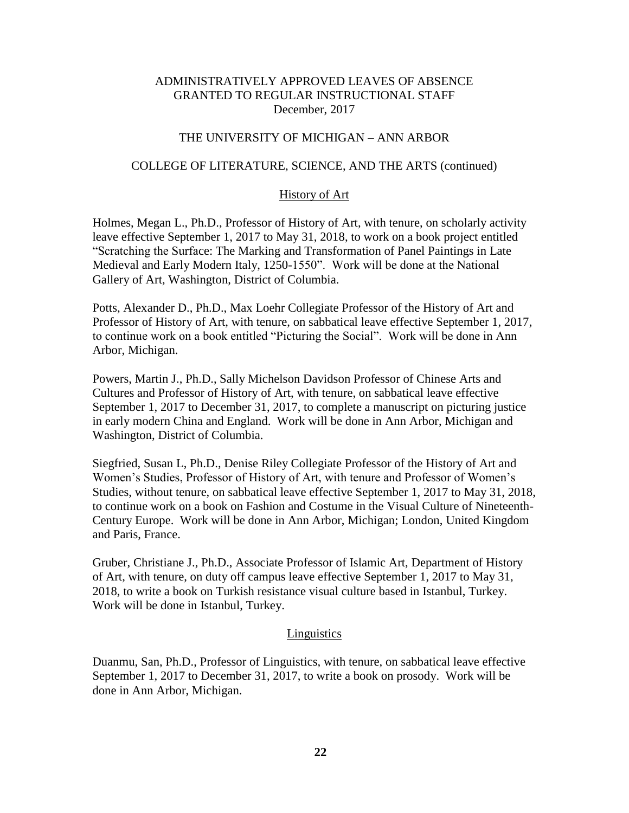# THE UNIVERSITY OF MICHIGAN – ANN ARBOR

## COLLEGE OF LITERATURE, SCIENCE, AND THE ARTS (continued)

### History of Art

Holmes, Megan L., Ph.D., Professor of History of Art, with tenure, on scholarly activity leave effective September 1, 2017 to May 31, 2018, to work on a book project entitled "Scratching the Surface: The Marking and Transformation of Panel Paintings in Late Medieval and Early Modern Italy, 1250-1550". Work will be done at the National Gallery of Art, Washington, District of Columbia.

Potts, Alexander D., Ph.D., Max Loehr Collegiate Professor of the History of Art and Professor of History of Art, with tenure, on sabbatical leave effective September 1, 2017, to continue work on a book entitled "Picturing the Social". Work will be done in Ann Arbor, Michigan.

Powers, Martin J., Ph.D., Sally Michelson Davidson Professor of Chinese Arts and Cultures and Professor of History of Art, with tenure, on sabbatical leave effective September 1, 2017 to December 31, 2017, to complete a manuscript on picturing justice in early modern China and England. Work will be done in Ann Arbor, Michigan and Washington, District of Columbia.

Siegfried, Susan L, Ph.D., Denise Riley Collegiate Professor of the History of Art and Women's Studies, Professor of History of Art, with tenure and Professor of Women's Studies, without tenure, on sabbatical leave effective September 1, 2017 to May 31, 2018, to continue work on a book on Fashion and Costume in the Visual Culture of Nineteenth-Century Europe. Work will be done in Ann Arbor, Michigan; London, United Kingdom and Paris, France.

Gruber, Christiane J., Ph.D., Associate Professor of Islamic Art, Department of History of Art, with tenure, on duty off campus leave effective September 1, 2017 to May 31, 2018, to write a book on Turkish resistance visual culture based in Istanbul, Turkey. Work will be done in Istanbul, Turkey.

#### Linguistics

Duanmu, San, Ph.D., Professor of Linguistics, with tenure, on sabbatical leave effective September 1, 2017 to December 31, 2017, to write a book on prosody. Work will be done in Ann Arbor, Michigan.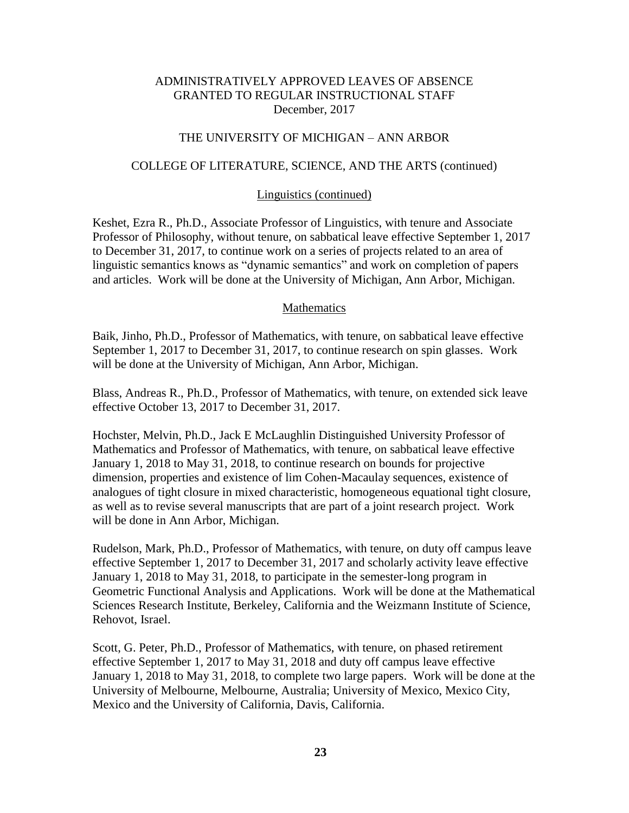# THE UNIVERSITY OF MICHIGAN – ANN ARBOR

### COLLEGE OF LITERATURE, SCIENCE, AND THE ARTS (continued)

#### Linguistics (continued)

Keshet, Ezra R., Ph.D., Associate Professor of Linguistics, with tenure and Associate Professor of Philosophy, without tenure, on sabbatical leave effective September 1, 2017 to December 31, 2017, to continue work on a series of projects related to an area of linguistic semantics knows as "dynamic semantics" and work on completion of papers and articles. Work will be done at the University of Michigan, Ann Arbor, Michigan.

#### Mathematics

Baik, Jinho, Ph.D., Professor of Mathematics, with tenure, on sabbatical leave effective September 1, 2017 to December 31, 2017, to continue research on spin glasses. Work will be done at the University of Michigan, Ann Arbor, Michigan.

Blass, Andreas R., Ph.D., Professor of Mathematics, with tenure, on extended sick leave effective October 13, 2017 to December 31, 2017.

Hochster, Melvin, Ph.D., Jack E McLaughlin Distinguished University Professor of Mathematics and Professor of Mathematics, with tenure, on sabbatical leave effective January 1, 2018 to May 31, 2018, to continue research on bounds for projective dimension, properties and existence of lim Cohen-Macaulay sequences, existence of analogues of tight closure in mixed characteristic, homogeneous equational tight closure, as well as to revise several manuscripts that are part of a joint research project. Work will be done in Ann Arbor, Michigan.

Rudelson, Mark, Ph.D., Professor of Mathematics, with tenure, on duty off campus leave effective September 1, 2017 to December 31, 2017 and scholarly activity leave effective January 1, 2018 to May 31, 2018, to participate in the semester-long program in Geometric Functional Analysis and Applications. Work will be done at the Mathematical Sciences Research Institute, Berkeley, California and the Weizmann Institute of Science, Rehovot, Israel.

Scott, G. Peter, Ph.D., Professor of Mathematics, with tenure, on phased retirement effective September 1, 2017 to May 31, 2018 and duty off campus leave effective January 1, 2018 to May 31, 2018, to complete two large papers. Work will be done at the University of Melbourne, Melbourne, Australia; University of Mexico, Mexico City, Mexico and the University of California, Davis, California.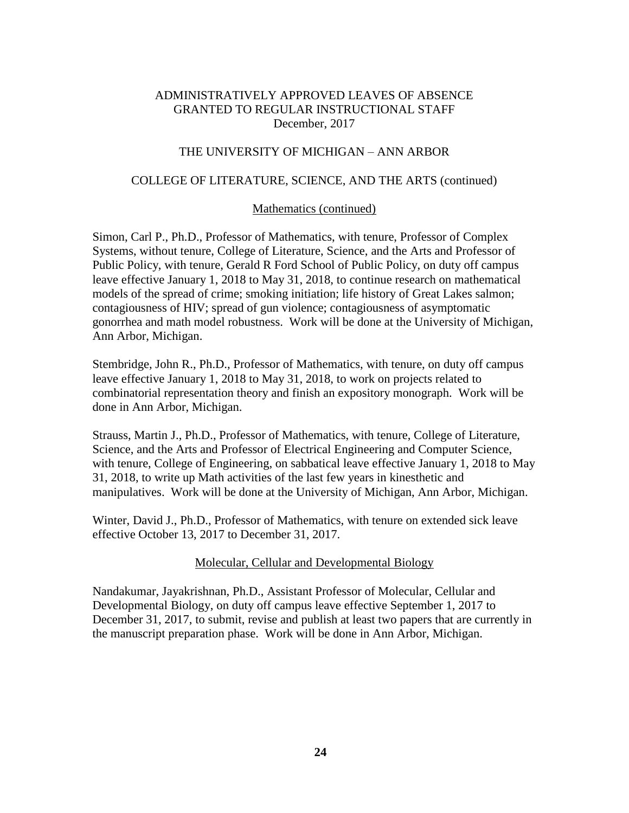# THE UNIVERSITY OF MICHIGAN – ANN ARBOR

# COLLEGE OF LITERATURE, SCIENCE, AND THE ARTS (continued)

# Mathematics (continued)

Simon, Carl P., Ph.D., Professor of Mathematics, with tenure, Professor of Complex Systems, without tenure, College of Literature, Science, and the Arts and Professor of Public Policy, with tenure, Gerald R Ford School of Public Policy, on duty off campus leave effective January 1, 2018 to May 31, 2018, to continue research on mathematical models of the spread of crime; smoking initiation; life history of Great Lakes salmon; contagiousness of HIV; spread of gun violence; contagiousness of asymptomatic gonorrhea and math model robustness. Work will be done at the University of Michigan, Ann Arbor, Michigan.

Stembridge, John R., Ph.D., Professor of Mathematics, with tenure, on duty off campus leave effective January 1, 2018 to May 31, 2018, to work on projects related to combinatorial representation theory and finish an expository monograph. Work will be done in Ann Arbor, Michigan.

Strauss, Martin J., Ph.D., Professor of Mathematics, with tenure, College of Literature, Science, and the Arts and Professor of Electrical Engineering and Computer Science, with tenure, College of Engineering, on sabbatical leave effective January 1, 2018 to May 31, 2018, to write up Math activities of the last few years in kinesthetic and manipulatives. Work will be done at the University of Michigan, Ann Arbor, Michigan.

Winter, David J., Ph.D., Professor of Mathematics, with tenure on extended sick leave effective October 13, 2017 to December 31, 2017.

# Molecular, Cellular and Developmental Biology

Nandakumar, Jayakrishnan, Ph.D., Assistant Professor of Molecular, Cellular and Developmental Biology, on duty off campus leave effective September 1, 2017 to December 31, 2017, to submit, revise and publish at least two papers that are currently in the manuscript preparation phase. Work will be done in Ann Arbor, Michigan.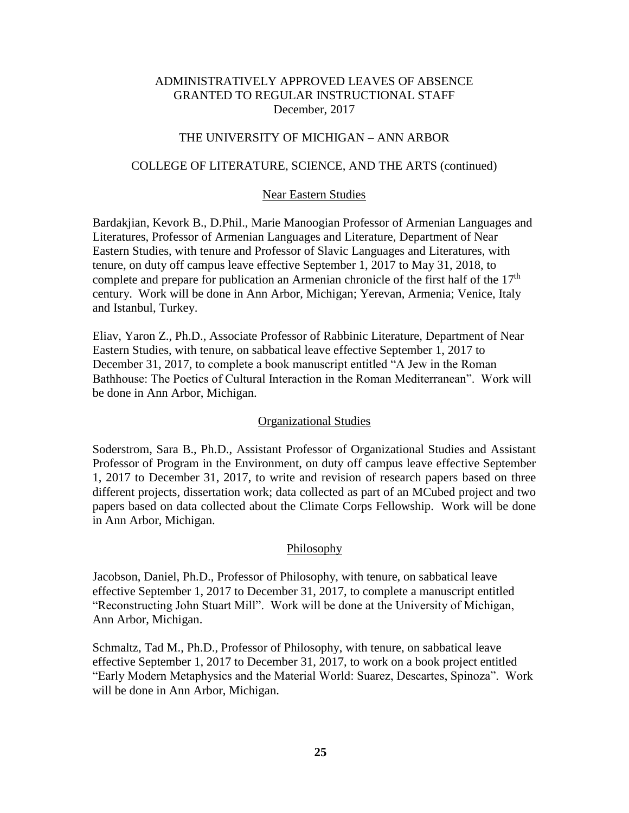# THE UNIVERSITY OF MICHIGAN – ANN ARBOR

## COLLEGE OF LITERATURE, SCIENCE, AND THE ARTS (continued)

#### Near Eastern Studies

Bardakjian, Kevork B., D.Phil., Marie Manoogian Professor of Armenian Languages and Literatures, Professor of Armenian Languages and Literature, Department of Near Eastern Studies, with tenure and Professor of Slavic Languages and Literatures, with tenure, on duty off campus leave effective September 1, 2017 to May 31, 2018, to complete and prepare for publication an Armenian chronicle of the first half of the 17<sup>th</sup> century. Work will be done in Ann Arbor, Michigan; Yerevan, Armenia; Venice, Italy and Istanbul, Turkey.

Eliav, Yaron Z., Ph.D., Associate Professor of Rabbinic Literature, Department of Near Eastern Studies, with tenure, on sabbatical leave effective September 1, 2017 to December 31, 2017, to complete a book manuscript entitled "A Jew in the Roman Bathhouse: The Poetics of Cultural Interaction in the Roman Mediterranean". Work will be done in Ann Arbor, Michigan.

## Organizational Studies

Soderstrom, Sara B., Ph.D., Assistant Professor of Organizational Studies and Assistant Professor of Program in the Environment, on duty off campus leave effective September 1, 2017 to December 31, 2017, to write and revision of research papers based on three different projects, dissertation work; data collected as part of an MCubed project and two papers based on data collected about the Climate Corps Fellowship. Work will be done in Ann Arbor, Michigan.

## Philosophy

Jacobson, Daniel, Ph.D., Professor of Philosophy, with tenure, on sabbatical leave effective September 1, 2017 to December 31, 2017, to complete a manuscript entitled "Reconstructing John Stuart Mill". Work will be done at the University of Michigan, Ann Arbor, Michigan.

Schmaltz, Tad M., Ph.D., Professor of Philosophy, with tenure, on sabbatical leave effective September 1, 2017 to December 31, 2017, to work on a book project entitled "Early Modern Metaphysics and the Material World: Suarez, Descartes, Spinoza". Work will be done in Ann Arbor, Michigan.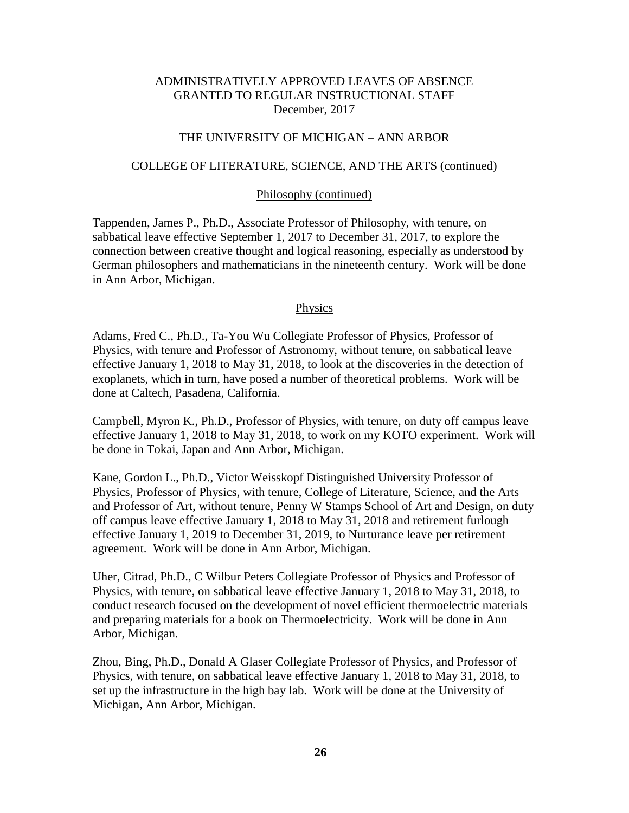# THE UNIVERSITY OF MICHIGAN – ANN ARBOR

### COLLEGE OF LITERATURE, SCIENCE, AND THE ARTS (continued)

#### Philosophy (continued)

Tappenden, James P., Ph.D., Associate Professor of Philosophy, with tenure, on sabbatical leave effective September 1, 2017 to December 31, 2017, to explore the connection between creative thought and logical reasoning, especially as understood by German philosophers and mathematicians in the nineteenth century. Work will be done in Ann Arbor, Michigan.

#### **Physics**

Adams, Fred C., Ph.D., Ta-You Wu Collegiate Professor of Physics, Professor of Physics, with tenure and Professor of Astronomy, without tenure, on sabbatical leave effective January 1, 2018 to May 31, 2018, to look at the discoveries in the detection of exoplanets, which in turn, have posed a number of theoretical problems. Work will be done at Caltech, Pasadena, California.

Campbell, Myron K., Ph.D., Professor of Physics, with tenure, on duty off campus leave effective January 1, 2018 to May 31, 2018, to work on my KOTO experiment. Work will be done in Tokai, Japan and Ann Arbor, Michigan.

Kane, Gordon L., Ph.D., Victor Weisskopf Distinguished University Professor of Physics, Professor of Physics, with tenure, College of Literature, Science, and the Arts and Professor of Art, without tenure, Penny W Stamps School of Art and Design, on duty off campus leave effective January 1, 2018 to May 31, 2018 and retirement furlough effective January 1, 2019 to December 31, 2019, to Nurturance leave per retirement agreement. Work will be done in Ann Arbor, Michigan.

Uher, Citrad, Ph.D., C Wilbur Peters Collegiate Professor of Physics and Professor of Physics, with tenure, on sabbatical leave effective January 1, 2018 to May 31, 2018, to conduct research focused on the development of novel efficient thermoelectric materials and preparing materials for a book on Thermoelectricity. Work will be done in Ann Arbor, Michigan.

Zhou, Bing, Ph.D., Donald A Glaser Collegiate Professor of Physics, and Professor of Physics, with tenure, on sabbatical leave effective January 1, 2018 to May 31, 2018, to set up the infrastructure in the high bay lab. Work will be done at the University of Michigan, Ann Arbor, Michigan.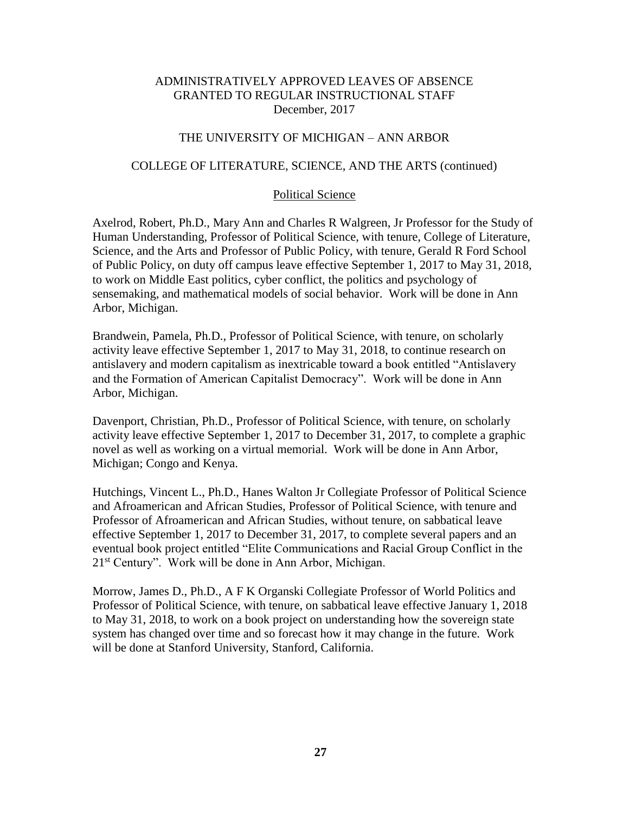# THE UNIVERSITY OF MICHIGAN – ANN ARBOR

## COLLEGE OF LITERATURE, SCIENCE, AND THE ARTS (continued)

# Political Science

Axelrod, Robert, Ph.D., Mary Ann and Charles R Walgreen, Jr Professor for the Study of Human Understanding, Professor of Political Science, with tenure, College of Literature, Science, and the Arts and Professor of Public Policy, with tenure, Gerald R Ford School of Public Policy, on duty off campus leave effective September 1, 2017 to May 31, 2018, to work on Middle East politics, cyber conflict, the politics and psychology of sensemaking, and mathematical models of social behavior. Work will be done in Ann Arbor, Michigan.

Brandwein, Pamela, Ph.D., Professor of Political Science, with tenure, on scholarly activity leave effective September 1, 2017 to May 31, 2018, to continue research on antislavery and modern capitalism as inextricable toward a book entitled "Antislavery and the Formation of American Capitalist Democracy". Work will be done in Ann Arbor, Michigan.

Davenport, Christian, Ph.D., Professor of Political Science, with tenure, on scholarly activity leave effective September 1, 2017 to December 31, 2017, to complete a graphic novel as well as working on a virtual memorial. Work will be done in Ann Arbor, Michigan; Congo and Kenya.

Hutchings, Vincent L., Ph.D., Hanes Walton Jr Collegiate Professor of Political Science and Afroamerican and African Studies, Professor of Political Science, with tenure and Professor of Afroamerican and African Studies, without tenure, on sabbatical leave effective September 1, 2017 to December 31, 2017, to complete several papers and an eventual book project entitled "Elite Communications and Racial Group Conflict in the 21<sup>st</sup> Century". Work will be done in Ann Arbor, Michigan.

Morrow, James D., Ph.D., A F K Organski Collegiate Professor of World Politics and Professor of Political Science, with tenure, on sabbatical leave effective January 1, 2018 to May 31, 2018, to work on a book project on understanding how the sovereign state system has changed over time and so forecast how it may change in the future. Work will be done at Stanford University, Stanford, California.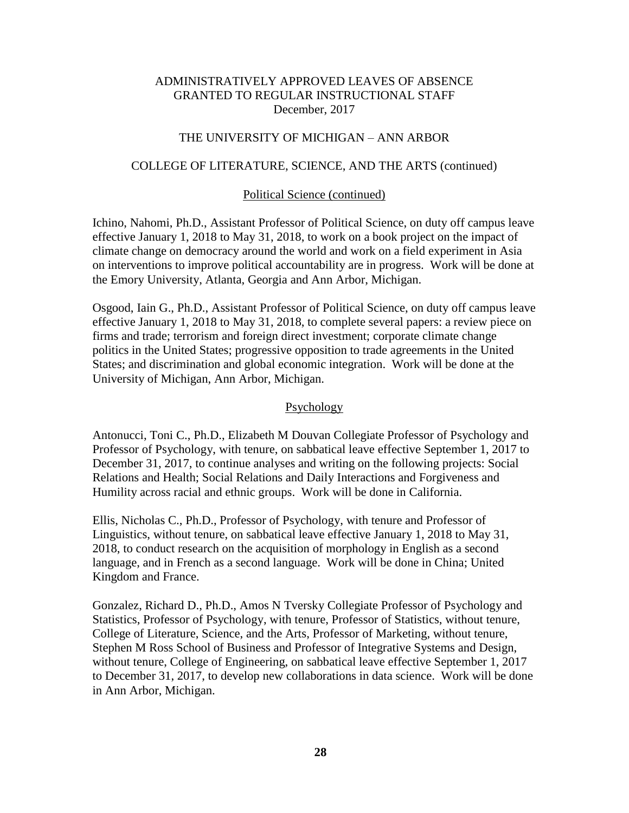# THE UNIVERSITY OF MICHIGAN – ANN ARBOR

## COLLEGE OF LITERATURE, SCIENCE, AND THE ARTS (continued)

### Political Science (continued)

Ichino, Nahomi, Ph.D., Assistant Professor of Political Science, on duty off campus leave effective January 1, 2018 to May 31, 2018, to work on a book project on the impact of climate change on democracy around the world and work on a field experiment in Asia on interventions to improve political accountability are in progress. Work will be done at the Emory University, Atlanta, Georgia and Ann Arbor, Michigan.

Osgood, Iain G., Ph.D., Assistant Professor of Political Science, on duty off campus leave effective January 1, 2018 to May 31, 2018, to complete several papers: a review piece on firms and trade; terrorism and foreign direct investment; corporate climate change politics in the United States; progressive opposition to trade agreements in the United States; and discrimination and global economic integration. Work will be done at the University of Michigan, Ann Arbor, Michigan.

### Psychology

Antonucci, Toni C., Ph.D., Elizabeth M Douvan Collegiate Professor of Psychology and Professor of Psychology, with tenure, on sabbatical leave effective September 1, 2017 to December 31, 2017, to continue analyses and writing on the following projects: Social Relations and Health; Social Relations and Daily Interactions and Forgiveness and Humility across racial and ethnic groups. Work will be done in California.

Ellis, Nicholas C., Ph.D., Professor of Psychology, with tenure and Professor of Linguistics, without tenure, on sabbatical leave effective January 1, 2018 to May 31, 2018, to conduct research on the acquisition of morphology in English as a second language, and in French as a second language. Work will be done in China; United Kingdom and France.

Gonzalez, Richard D., Ph.D., Amos N Tversky Collegiate Professor of Psychology and Statistics, Professor of Psychology, with tenure, Professor of Statistics, without tenure, College of Literature, Science, and the Arts, Professor of Marketing, without tenure, Stephen M Ross School of Business and Professor of Integrative Systems and Design, without tenure, College of Engineering, on sabbatical leave effective September 1, 2017 to December 31, 2017, to develop new collaborations in data science. Work will be done in Ann Arbor, Michigan.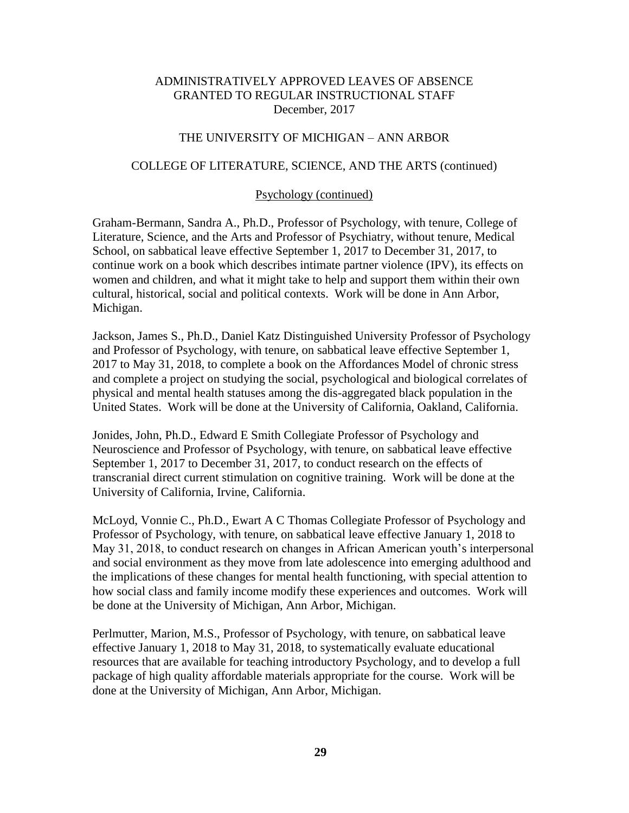# THE UNIVERSITY OF MICHIGAN – ANN ARBOR

### COLLEGE OF LITERATURE, SCIENCE, AND THE ARTS (continued)

#### Psychology (continued)

Graham-Bermann, Sandra A., Ph.D., Professor of Psychology, with tenure, College of Literature, Science, and the Arts and Professor of Psychiatry, without tenure, Medical School, on sabbatical leave effective September 1, 2017 to December 31, 2017, to continue work on a book which describes intimate partner violence (IPV), its effects on women and children, and what it might take to help and support them within their own cultural, historical, social and political contexts. Work will be done in Ann Arbor, Michigan.

Jackson, James S., Ph.D., Daniel Katz Distinguished University Professor of Psychology and Professor of Psychology, with tenure, on sabbatical leave effective September 1, 2017 to May 31, 2018, to complete a book on the Affordances Model of chronic stress and complete a project on studying the social, psychological and biological correlates of physical and mental health statuses among the dis-aggregated black population in the United States. Work will be done at the University of California, Oakland, California.

Jonides, John, Ph.D., Edward E Smith Collegiate Professor of Psychology and Neuroscience and Professor of Psychology, with tenure, on sabbatical leave effective September 1, 2017 to December 31, 2017, to conduct research on the effects of transcranial direct current stimulation on cognitive training. Work will be done at the University of California, Irvine, California.

McLoyd, Vonnie C., Ph.D., Ewart A C Thomas Collegiate Professor of Psychology and Professor of Psychology, with tenure, on sabbatical leave effective January 1, 2018 to May 31, 2018, to conduct research on changes in African American youth's interpersonal and social environment as they move from late adolescence into emerging adulthood and the implications of these changes for mental health functioning, with special attention to how social class and family income modify these experiences and outcomes. Work will be done at the University of Michigan, Ann Arbor, Michigan.

Perlmutter, Marion, M.S., Professor of Psychology, with tenure, on sabbatical leave effective January 1, 2018 to May 31, 2018, to systematically evaluate educational resources that are available for teaching introductory Psychology, and to develop a full package of high quality affordable materials appropriate for the course. Work will be done at the University of Michigan, Ann Arbor, Michigan.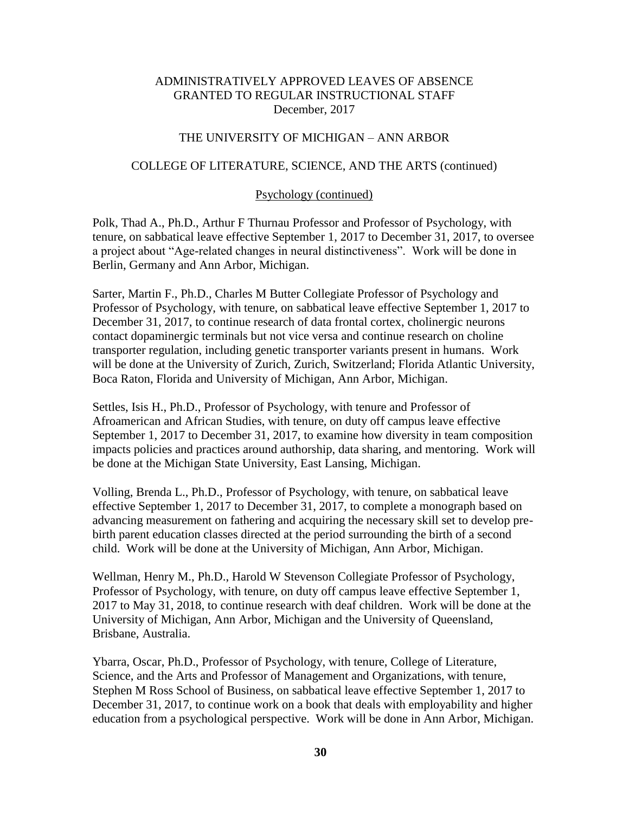# THE UNIVERSITY OF MICHIGAN – ANN ARBOR

### COLLEGE OF LITERATURE, SCIENCE, AND THE ARTS (continued)

#### Psychology (continued)

Polk, Thad A., Ph.D., Arthur F Thurnau Professor and Professor of Psychology, with tenure, on sabbatical leave effective September 1, 2017 to December 31, 2017, to oversee a project about "Age-related changes in neural distinctiveness". Work will be done in Berlin, Germany and Ann Arbor, Michigan.

Sarter, Martin F., Ph.D., Charles M Butter Collegiate Professor of Psychology and Professor of Psychology, with tenure, on sabbatical leave effective September 1, 2017 to December 31, 2017, to continue research of data frontal cortex, cholinergic neurons contact dopaminergic terminals but not vice versa and continue research on choline transporter regulation, including genetic transporter variants present in humans. Work will be done at the University of Zurich, Zurich, Switzerland; Florida Atlantic University, Boca Raton, Florida and University of Michigan, Ann Arbor, Michigan.

Settles, Isis H., Ph.D., Professor of Psychology, with tenure and Professor of Afroamerican and African Studies, with tenure, on duty off campus leave effective September 1, 2017 to December 31, 2017, to examine how diversity in team composition impacts policies and practices around authorship, data sharing, and mentoring. Work will be done at the Michigan State University, East Lansing, Michigan.

Volling, Brenda L., Ph.D., Professor of Psychology, with tenure, on sabbatical leave effective September 1, 2017 to December 31, 2017, to complete a monograph based on advancing measurement on fathering and acquiring the necessary skill set to develop prebirth parent education classes directed at the period surrounding the birth of a second child. Work will be done at the University of Michigan, Ann Arbor, Michigan.

Wellman, Henry M., Ph.D., Harold W Stevenson Collegiate Professor of Psychology, Professor of Psychology, with tenure, on duty off campus leave effective September 1, 2017 to May 31, 2018, to continue research with deaf children. Work will be done at the University of Michigan, Ann Arbor, Michigan and the University of Queensland, Brisbane, Australia.

Ybarra, Oscar, Ph.D., Professor of Psychology, with tenure, College of Literature, Science, and the Arts and Professor of Management and Organizations, with tenure, Stephen M Ross School of Business, on sabbatical leave effective September 1, 2017 to December 31, 2017, to continue work on a book that deals with employability and higher education from a psychological perspective. Work will be done in Ann Arbor, Michigan.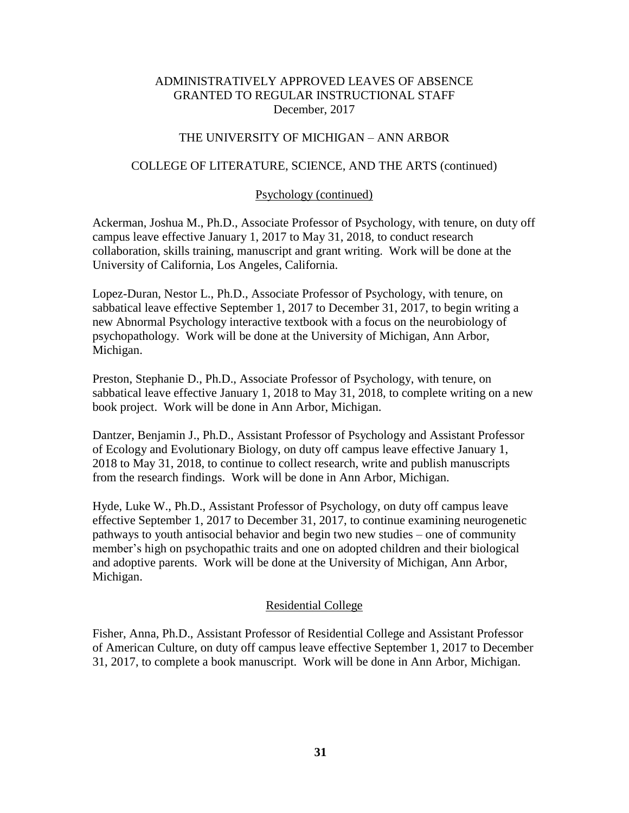# THE UNIVERSITY OF MICHIGAN – ANN ARBOR

## COLLEGE OF LITERATURE, SCIENCE, AND THE ARTS (continued)

### Psychology (continued)

Ackerman, Joshua M., Ph.D., Associate Professor of Psychology, with tenure, on duty off campus leave effective January 1, 2017 to May 31, 2018, to conduct research collaboration, skills training, manuscript and grant writing. Work will be done at the University of California, Los Angeles, California.

Lopez-Duran, Nestor L., Ph.D., Associate Professor of Psychology, with tenure, on sabbatical leave effective September 1, 2017 to December 31, 2017, to begin writing a new Abnormal Psychology interactive textbook with a focus on the neurobiology of psychopathology. Work will be done at the University of Michigan, Ann Arbor, Michigan.

Preston, Stephanie D., Ph.D., Associate Professor of Psychology, with tenure, on sabbatical leave effective January 1, 2018 to May 31, 2018, to complete writing on a new book project. Work will be done in Ann Arbor, Michigan.

Dantzer, Benjamin J., Ph.D., Assistant Professor of Psychology and Assistant Professor of Ecology and Evolutionary Biology, on duty off campus leave effective January 1, 2018 to May 31, 2018, to continue to collect research, write and publish manuscripts from the research findings. Work will be done in Ann Arbor, Michigan.

Hyde, Luke W., Ph.D., Assistant Professor of Psychology, on duty off campus leave effective September 1, 2017 to December 31, 2017, to continue examining neurogenetic pathways to youth antisocial behavior and begin two new studies – one of community member's high on psychopathic traits and one on adopted children and their biological and adoptive parents. Work will be done at the University of Michigan, Ann Arbor, Michigan.

# Residential College

Fisher, Anna, Ph.D., Assistant Professor of Residential College and Assistant Professor of American Culture, on duty off campus leave effective September 1, 2017 to December 31, 2017, to complete a book manuscript. Work will be done in Ann Arbor, Michigan.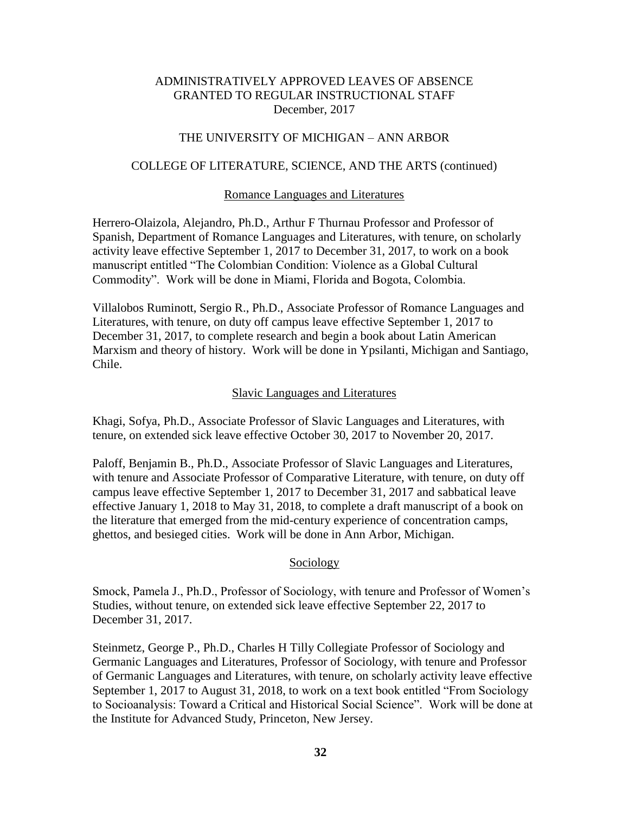# THE UNIVERSITY OF MICHIGAN – ANN ARBOR

## COLLEGE OF LITERATURE, SCIENCE, AND THE ARTS (continued)

#### Romance Languages and Literatures

Herrero-Olaizola, Alejandro, Ph.D., Arthur F Thurnau Professor and Professor of Spanish, Department of Romance Languages and Literatures, with tenure, on scholarly activity leave effective September 1, 2017 to December 31, 2017, to work on a book manuscript entitled "The Colombian Condition: Violence as a Global Cultural Commodity". Work will be done in Miami, Florida and Bogota, Colombia.

Villalobos Ruminott, Sergio R., Ph.D., Associate Professor of Romance Languages and Literatures, with tenure, on duty off campus leave effective September 1, 2017 to December 31, 2017, to complete research and begin a book about Latin American Marxism and theory of history. Work will be done in Ypsilanti, Michigan and Santiago, Chile.

#### Slavic Languages and Literatures

Khagi, Sofya, Ph.D., Associate Professor of Slavic Languages and Literatures, with tenure, on extended sick leave effective October 30, 2017 to November 20, 2017.

Paloff, Benjamin B., Ph.D., Associate Professor of Slavic Languages and Literatures, with tenure and Associate Professor of Comparative Literature, with tenure, on duty off campus leave effective September 1, 2017 to December 31, 2017 and sabbatical leave effective January 1, 2018 to May 31, 2018, to complete a draft manuscript of a book on the literature that emerged from the mid-century experience of concentration camps, ghettos, and besieged cities. Work will be done in Ann Arbor, Michigan.

#### Sociology

Smock, Pamela J., Ph.D., Professor of Sociology, with tenure and Professor of Women's Studies, without tenure, on extended sick leave effective September 22, 2017 to December 31, 2017.

Steinmetz, George P., Ph.D., Charles H Tilly Collegiate Professor of Sociology and Germanic Languages and Literatures, Professor of Sociology, with tenure and Professor of Germanic Languages and Literatures, with tenure, on scholarly activity leave effective September 1, 2017 to August 31, 2018, to work on a text book entitled "From Sociology to Socioanalysis: Toward a Critical and Historical Social Science". Work will be done at the Institute for Advanced Study, Princeton, New Jersey.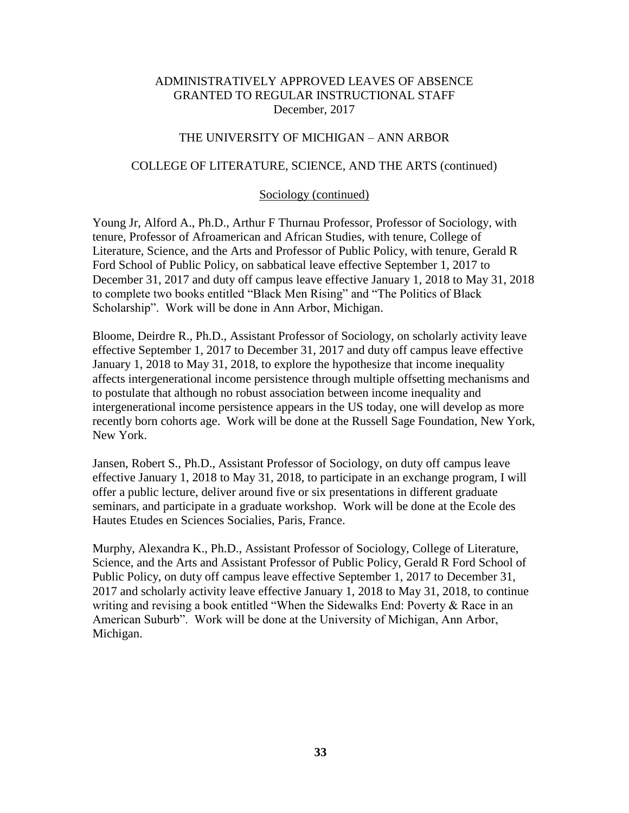# THE UNIVERSITY OF MICHIGAN – ANN ARBOR

### COLLEGE OF LITERATURE, SCIENCE, AND THE ARTS (continued)

#### Sociology (continued)

Young Jr, Alford A., Ph.D., Arthur F Thurnau Professor, Professor of Sociology, with tenure, Professor of Afroamerican and African Studies, with tenure, College of Literature, Science, and the Arts and Professor of Public Policy, with tenure, Gerald R Ford School of Public Policy, on sabbatical leave effective September 1, 2017 to December 31, 2017 and duty off campus leave effective January 1, 2018 to May 31, 2018 to complete two books entitled "Black Men Rising" and "The Politics of Black Scholarship". Work will be done in Ann Arbor, Michigan.

Bloome, Deirdre R., Ph.D., Assistant Professor of Sociology, on scholarly activity leave effective September 1, 2017 to December 31, 2017 and duty off campus leave effective January 1, 2018 to May 31, 2018, to explore the hypothesize that income inequality affects intergenerational income persistence through multiple offsetting mechanisms and to postulate that although no robust association between income inequality and intergenerational income persistence appears in the US today, one will develop as more recently born cohorts age. Work will be done at the Russell Sage Foundation, New York, New York.

Jansen, Robert S., Ph.D., Assistant Professor of Sociology, on duty off campus leave effective January 1, 2018 to May 31, 2018, to participate in an exchange program, I will offer a public lecture, deliver around five or six presentations in different graduate seminars, and participate in a graduate workshop. Work will be done at the Ecole des Hautes Etudes en Sciences Socialies, Paris, France.

Murphy, Alexandra K., Ph.D., Assistant Professor of Sociology, College of Literature, Science, and the Arts and Assistant Professor of Public Policy, Gerald R Ford School of Public Policy, on duty off campus leave effective September 1, 2017 to December 31, 2017 and scholarly activity leave effective January 1, 2018 to May 31, 2018, to continue writing and revising a book entitled "When the Sidewalks End: Poverty & Race in an American Suburb". Work will be done at the University of Michigan, Ann Arbor, Michigan.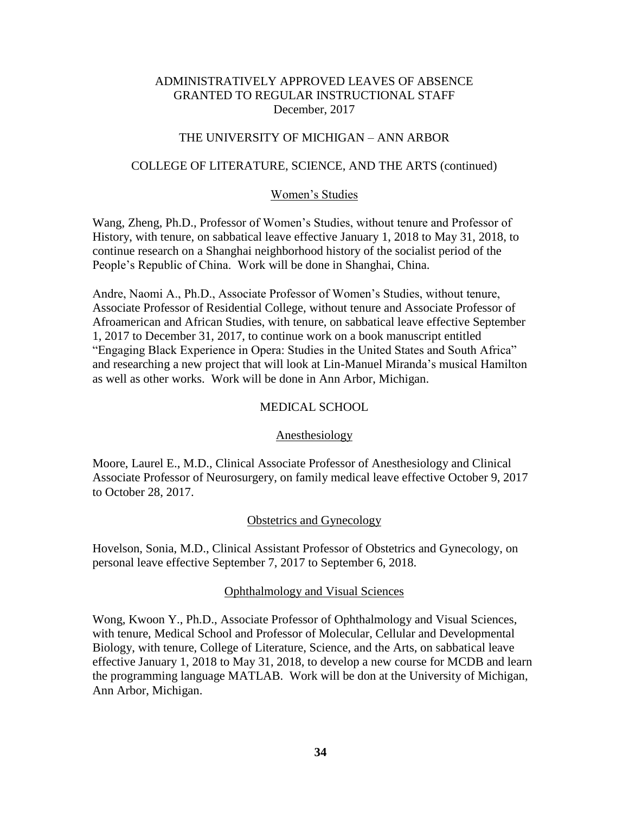# THE UNIVERSITY OF MICHIGAN – ANN ARBOR

## COLLEGE OF LITERATURE, SCIENCE, AND THE ARTS (continued)

#### Women's Studies

Wang, Zheng, Ph.D., Professor of Women's Studies, without tenure and Professor of History, with tenure, on sabbatical leave effective January 1, 2018 to May 31, 2018, to continue research on a Shanghai neighborhood history of the socialist period of the People's Republic of China. Work will be done in Shanghai, China.

Andre, Naomi A., Ph.D., Associate Professor of Women's Studies, without tenure, Associate Professor of Residential College, without tenure and Associate Professor of Afroamerican and African Studies, with tenure, on sabbatical leave effective September 1, 2017 to December 31, 2017, to continue work on a book manuscript entitled "Engaging Black Experience in Opera: Studies in the United States and South Africa" and researching a new project that will look at Lin-Manuel Miranda's musical Hamilton as well as other works. Work will be done in Ann Arbor, Michigan.

### MEDICAL SCHOOL

#### Anesthesiology

Moore, Laurel E., M.D., Clinical Associate Professor of Anesthesiology and Clinical Associate Professor of Neurosurgery, on family medical leave effective October 9, 2017 to October 28, 2017.

### Obstetrics and Gynecology

Hovelson, Sonia, M.D., Clinical Assistant Professor of Obstetrics and Gynecology, on personal leave effective September 7, 2017 to September 6, 2018.

#### Ophthalmology and Visual Sciences

Wong, Kwoon Y., Ph.D., Associate Professor of Ophthalmology and Visual Sciences, with tenure, Medical School and Professor of Molecular, Cellular and Developmental Biology, with tenure, College of Literature, Science, and the Arts, on sabbatical leave effective January 1, 2018 to May 31, 2018, to develop a new course for MCDB and learn the programming language MATLAB. Work will be don at the University of Michigan, Ann Arbor, Michigan.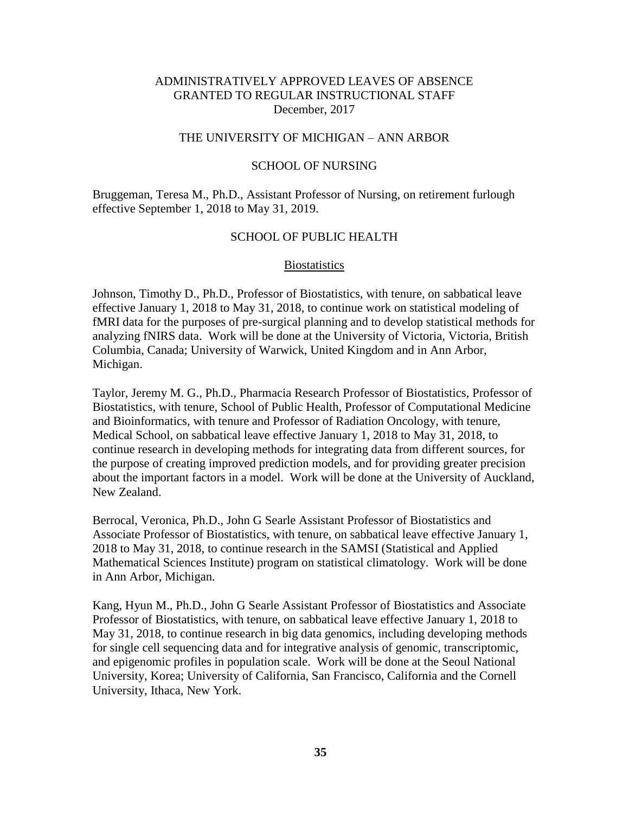#### THE UNIVERSITY OF MICHIGAN – ANN ARBOR

### SCHOOL OF NURSING

Bruggeman, Teresa M., Ph.D., Assistant Professor of Nursing, on retirement furlough effective September 1, 2018 to May 31, 2019.

# SCHOOL OF PUBLIC HEALTH

#### **Biostatistics**

Johnson, Timothy D., Ph.D., Professor of Biostatistics, with tenure, on sabbatical leave effective January 1, 2018 to May 31, 2018, to continue work on statistical modeling of fMRI data for the purposes of pre-surgical planning and to develop statistical methods for analyzing fNIRS data. Work will be done at the University of Victoria, Victoria, British Columbia, Canada; University of Warwick, United Kingdom and in Ann Arbor, Michigan.

Taylor, Jeremy M. G., Ph.D., Pharmacia Research Professor of Biostatistics, Professor of Biostatistics, with tenure, School of Public Health, Professor of Computational Medicine and Bioinformatics, with tenure and Professor of Radiation Oncology, with tenure, Medical School, on sabbatical leave effective January 1, 2018 to May 31, 2018, to continue research in developing methods for integrating data from different sources, for the purpose of creating improved prediction models, and for providing greater precision about the important factors in a model. Work will be done at the University of Auckland, New Zealand.

Berrocal, Veronica, Ph.D., John G Searle Assistant Professor of Biostatistics and Associate Professor of Biostatistics, with tenure, on sabbatical leave effective January 1, 2018 to May 31, 2018, to continue research in the SAMSI (Statistical and Applied Mathematical Sciences Institute) program on statistical climatology. Work will be done in Ann Arbor, Michigan.

Kang, Hyun M., Ph.D., John G Searle Assistant Professor of Biostatistics and Associate Professor of Biostatistics, with tenure, on sabbatical leave effective January 1, 2018 to May 31, 2018, to continue research in big data genomics, including developing methods for single cell sequencing data and for integrative analysis of genomic, transcriptomic, and epigenomic profiles in population scale. Work will be done at the Seoul National University, Korea; University of California, San Francisco, California and the Cornell University, Ithaca, New York.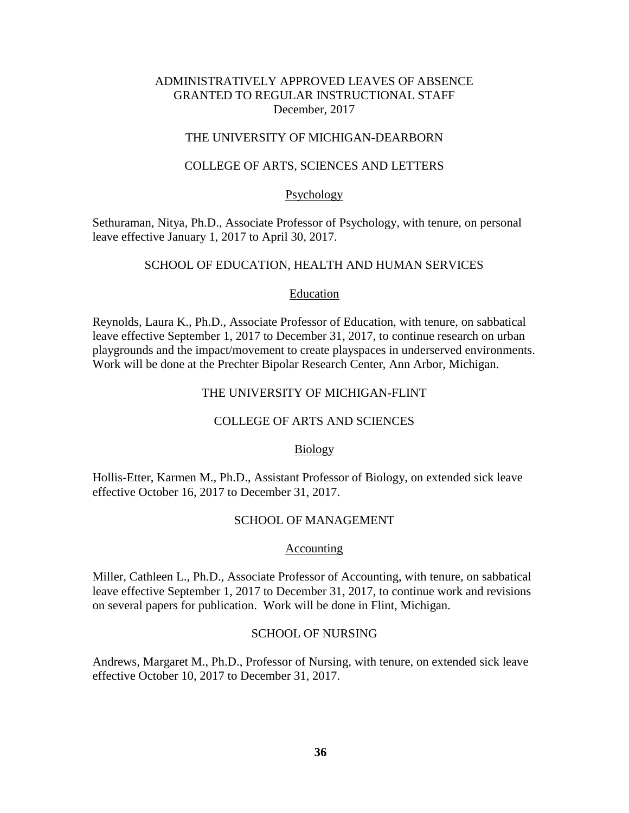# THE UNIVERSITY OF MICHIGAN-DEARBORN

## COLLEGE OF ARTS, SCIENCES AND LETTERS

#### **Psychology**

Sethuraman, Nitya, Ph.D., Associate Professor of Psychology, with tenure, on personal leave effective January 1, 2017 to April 30, 2017.

# SCHOOL OF EDUCATION, HEALTH AND HUMAN SERVICES

#### Education

Reynolds, Laura K., Ph.D., Associate Professor of Education, with tenure, on sabbatical leave effective September 1, 2017 to December 31, 2017, to continue research on urban playgrounds and the impact/movement to create playspaces in underserved environments. Work will be done at the Prechter Bipolar Research Center, Ann Arbor, Michigan.

# THE UNIVERSITY OF MICHIGAN-FLINT

### COLLEGE OF ARTS AND SCIENCES

#### Biology

Hollis-Etter, Karmen M., Ph.D., Assistant Professor of Biology, on extended sick leave effective October 16, 2017 to December 31, 2017.

#### SCHOOL OF MANAGEMENT

### Accounting

Miller, Cathleen L., Ph.D., Associate Professor of Accounting, with tenure, on sabbatical leave effective September 1, 2017 to December 31, 2017, to continue work and revisions on several papers for publication. Work will be done in Flint, Michigan.

# SCHOOL OF NURSING

Andrews, Margaret M., Ph.D., Professor of Nursing, with tenure, on extended sick leave effective October 10, 2017 to December 31, 2017.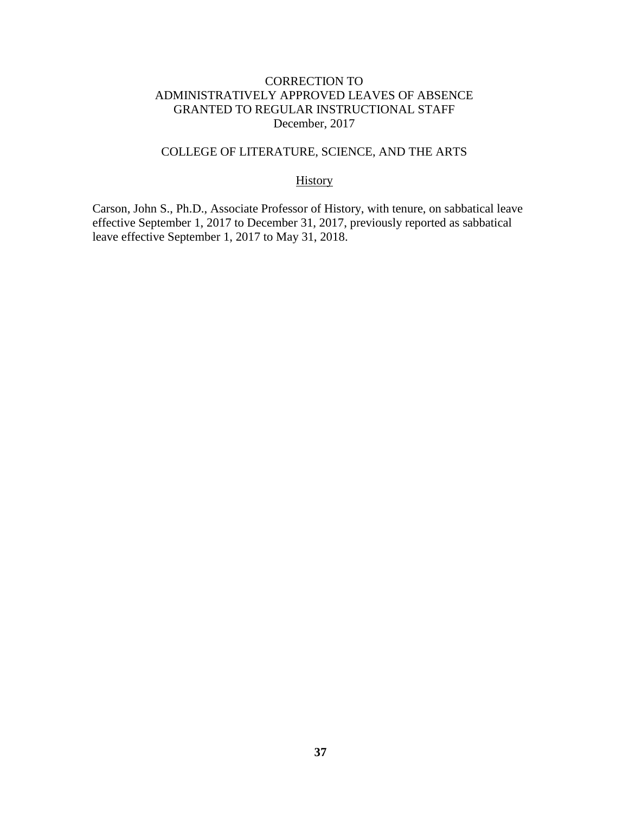# COLLEGE OF LITERATURE, SCIENCE, AND THE ARTS

# **History**

Carson, John S., Ph.D., Associate Professor of History, with tenure, on sabbatical leave effective September 1, 2017 to December 31, 2017, previously reported as sabbatical leave effective September 1, 2017 to May 31, 2018.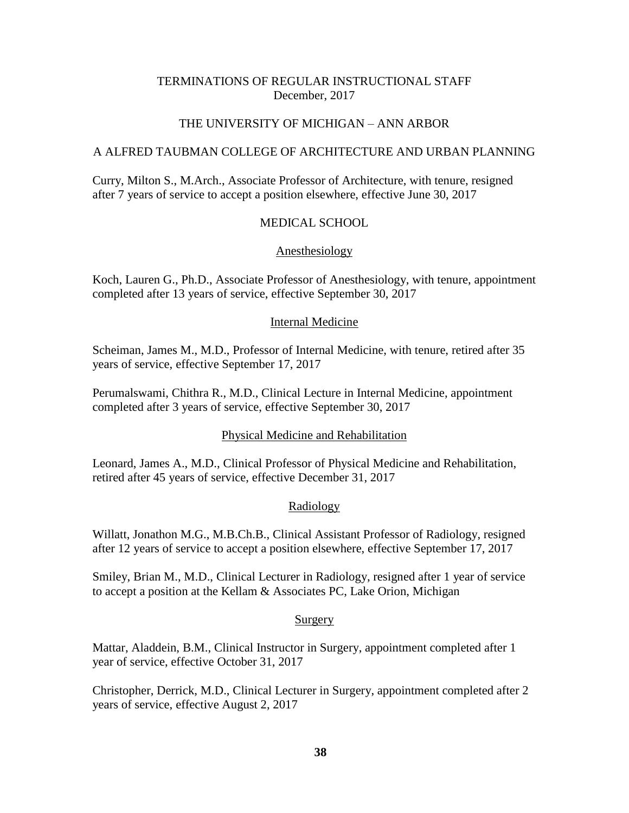# TERMINATIONS OF REGULAR INSTRUCTIONAL STAFF December, 2017

# THE UNIVERSITY OF MICHIGAN – ANN ARBOR

### A ALFRED TAUBMAN COLLEGE OF ARCHITECTURE AND URBAN PLANNING

Curry, Milton S., M.Arch., Associate Professor of Architecture, with tenure, resigned after 7 years of service to accept a position elsewhere, effective June 30, 2017

# MEDICAL SCHOOL

#### Anesthesiology

Koch, Lauren G., Ph.D., Associate Professor of Anesthesiology, with tenure, appointment completed after 13 years of service, effective September 30, 2017

### Internal Medicine

Scheiman, James M., M.D., Professor of Internal Medicine, with tenure, retired after 35 years of service, effective September 17, 2017

Perumalswami, Chithra R., M.D., Clinical Lecture in Internal Medicine, appointment completed after 3 years of service, effective September 30, 2017

#### Physical Medicine and Rehabilitation

Leonard, James A., M.D., Clinical Professor of Physical Medicine and Rehabilitation, retired after 45 years of service, effective December 31, 2017

#### **Radiology**

Willatt, Jonathon M.G., M.B.Ch.B., Clinical Assistant Professor of Radiology, resigned after 12 years of service to accept a position elsewhere, effective September 17, 2017

Smiley, Brian M., M.D., Clinical Lecturer in Radiology, resigned after 1 year of service to accept a position at the Kellam & Associates PC, Lake Orion, Michigan

#### Surgery

Mattar, Aladdein, B.M., Clinical Instructor in Surgery, appointment completed after 1 year of service, effective October 31, 2017

Christopher, Derrick, M.D., Clinical Lecturer in Surgery, appointment completed after 2 years of service, effective August 2, 2017